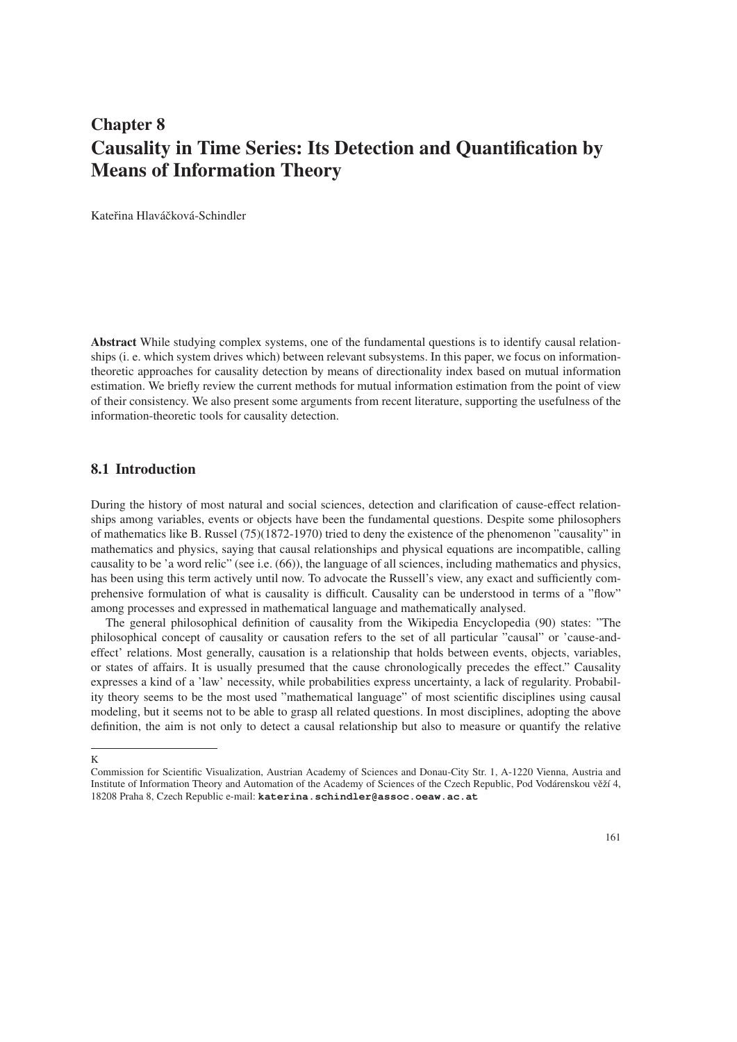# Chapter 8 Causality in Time Series: Its Detection and Quantification by Means of Information Theory

Kateřina Hlaváčková-Schindler

Abstract While studying complex systems, one of the fundamental questions is to identify causal relationships (i. e. which system drives which) between relevant subsystems. In this paper, we focus on informationtheoretic approaches for causality detection by means of directionality index based on mutual information estimation. We briefly review the current methods for mutual information estimation from the point of view of their consistency. We also present some arguments from recent literature, supporting the usefulness of the information-theoretic tools for causality detection.

# 8.1 Introduction

During the history of most natural and social sciences, detection and clarification of cause-effect relationships among variables, events or objects have been the fundamental questions. Despite some philosophers of mathematics like B. Russel (75)(1872-1970) tried to deny the existence of the phenomenon "causality" in mathematics and physics, saying that causal relationships and physical equations are incompatible, calling causality to be 'a word relic" (see i.e. (66)), the language of all sciences, including mathematics and physics, has been using this term actively until now. To advocate the Russell's view, any exact and sufficiently comprehensive formulation of what is causality is difficult. Causality can be understood in terms of a "flow" among processes and expressed in mathematical language and mathematically analysed.

The general philosophical definition of causality from the Wikipedia Encyclopedia (90) states: "The philosophical concept of causality or causation refers to the set of all particular "causal" or 'cause-andeffect' relations. Most generally, causation is a relationship that holds between events, objects, variables, or states of affairs. It is usually presumed that the cause chronologically precedes the effect." Causality expresses a kind of a 'law' necessity, while probabilities express uncertainty, a lack of regularity. Probability theory seems to be the most used "mathematical language" of most scientific disciplines using causal modeling, but it seems not to be able to grasp all related questions. In most disciplines, adopting the above definition, the aim is not only to detect a causal relationship but also to measure or quantify the relative

K

Commission for Scientific Visualization, Austrian Academy of Sciences and Donau-City Str. 1, A-1220 Vienna, Austria and Institute of Information Theory and Automation of the Academy of Sciences of the Czech Republic, Pod Vodárenskou věží 4, 18208 Praha 8, Czech Republic e-mail: katerina.schindler@assoc.oeaw.ac.at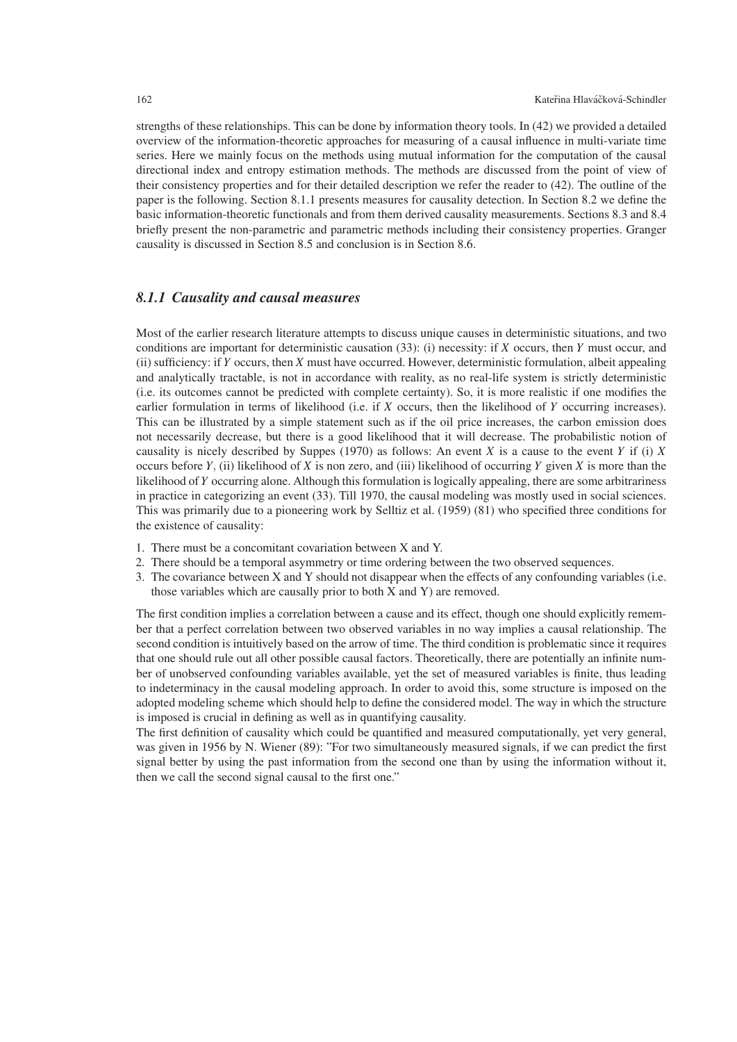strengths of these relationships. This can be done by information theory tools. In (42) we provided a detailed overview of the information-theoretic approaches for measuring of a causal influence in multi-variate time series. Here we mainly focus on the methods using mutual information for the computation of the causal directional index and entropy estimation methods. The methods are discussed from the point of view of their consistency properties and for their detailed description we refer the reader to (42). The outline of the paper is the following. Section 8.1.1 presents measures for causality detection. In Section 8.2 we define the basic information-theoretic functionals and from them derived causality measurements. Sections 8.3 and 8.4 briefly present the non-parametric and parametric methods including their consistency properties. Granger causality is discussed in Section 8.5 and conclusion is in Section 8.6.

### 8.1.1 Causality and causal measures

Most of the earlier research literature attempts to discuss unique causes in deterministic situations, and two conditions are important for deterministic causation  $(33)$ : (i) necessity: if X occurs, then Y must occur, and (ii) sufficiency: if Y occurs, then X must have occurred. However, deterministic formulation, albeit appealing and analytically tractable, is not in accordance with reality, as no real-life system is strictly deterministic (i.e. its outcomes cannot be predicted with complete certainty). So, it is more realistic if one modifies the earlier formulation in terms of likelihood (i.e. if X occurs, then the likelihood of Y occurring increases). This can be illustrated by a simple statement such as if the oil price increases, the carbon emission does not necessarily decrease, but there is a good likelihood that it will decrease. The probabilistic notion of causality is nicely described by Suppes (1970) as follows: An event X is a cause to the event Y if (i) X occurs before Y, (ii) likelihood of X is non zero, and (iii) likelihood of occurring Y given X is more than the likelihood of Y occurring alone. Although this formulation is logically appealing, there are some arbitrariness in practice in categorizing an event (33). Till 1970, the causal modeling was mostly used in social sciences. This was primarily due to a pioneering work by Selltiz et al. (1959) (81) who specified three conditions for the existence of causality:

- 1. There must be a concomitant covariation between X and Y.
- 2. There should be a temporal asymmetry or time ordering between the two observed sequences.
- 3. The covariance between X and Y should not disappear when the effects of any confounding variables (i.e. those variables which are causally prior to both X and Y) are removed.

The first condition implies a correlation between a cause and its effect, though one should explicitly remember that a perfect correlation between two observed variables in no way implies a causal relationship. The second condition is intuitively based on the arrow of time. The third condition is problematic since it requires that one should rule out all other possible causal factors. Theoretically, there are potentially an infinite number of unobserved confounding variables available, yet the set of measured variables is finite, thus leading to indeterminacy in the causal modeling approach. In order to avoid this, some structure is imposed on the adopted modeling scheme which should help to define the considered model. The way in which the structure is imposed is crucial in defining as well as in quantifying causality.

The first definition of causality which could be quantified and measured computationally, yet very general, was given in 1956 by N. Wiener (89): "For two simultaneously measured signals, if we can predict the first signal better by using the past information from the second one than by using the information without it, then we call the second signal causal to the first one."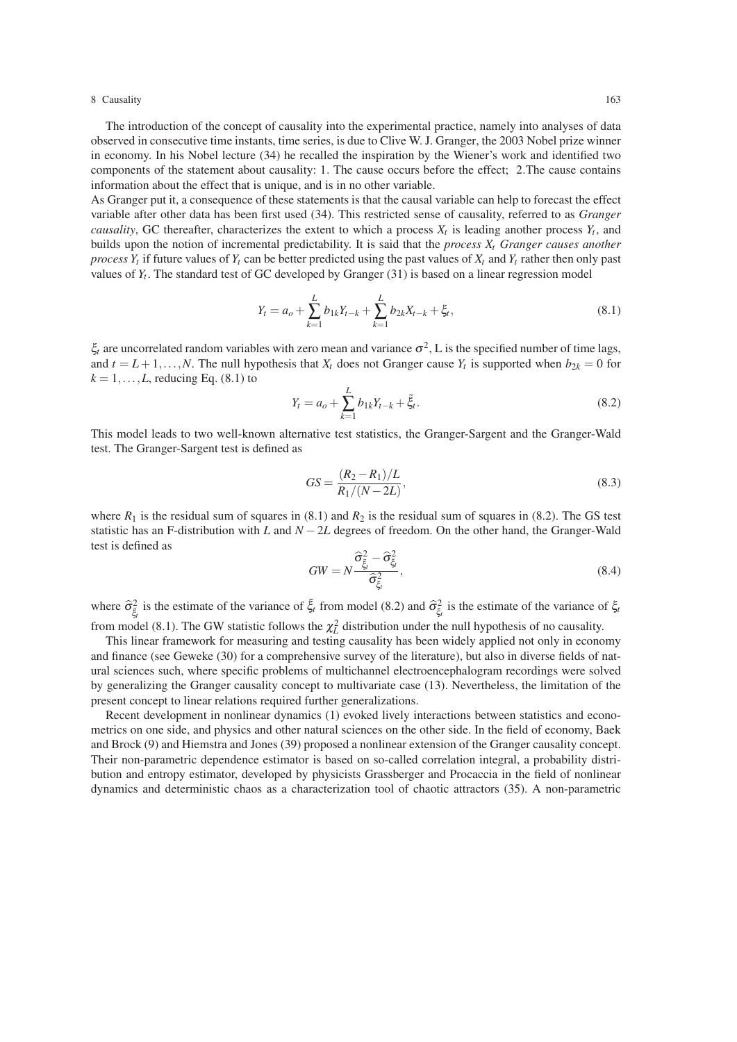The introduction of the concept of causality into the experimental practice, namely into analyses of data observed in consecutive time instants, time series, is due to Clive W. J. Granger, the 2003 Nobel prize winner in economy. In his Nobel lecture (34) he recalled the inspiration by the Wiener's work and identified two components of the statement about causality: 1. The cause occurs before the effect; 2.The cause contains information about the effect that is unique, and is in no other variable.

As Granger put it, a consequence of these statements is that the causal variable can help to forecast the effect variable after other data has been first used (34). This restricted sense of causality, referred to as Granger *causality*, GC thereafter, characterizes the extent to which a process  $X_t$  is leading another process  $Y_t$ , and builds upon the notion of incremental predictability. It is said that the *process*  $X_t$  Granger causes another process  $Y_t$  if future values of  $Y_t$  can be better predicted using the past values of  $X_t$  and  $Y_t$  rather then only past values of  $Y_t$ . The standard test of GC developed by Granger (31) is based on a linear regression model

$$
Y_t = a_o + \sum_{k=1}^{L} b_{1k} Y_{t-k} + \sum_{k=1}^{L} b_{2k} X_{t-k} + \xi_t,
$$
\n(8.1)

 $\xi_t$  are uncorrelated random variables with zero mean and variance  $\sigma^2$ , L is the specified number of time lags, and  $t = L + 1, \ldots, N$ . The null hypothesis that  $X_t$  does not Granger cause  $Y_t$  is supported when  $b_{2k} = 0$  for  $k = 1, \ldots, L$ , reducing Eq. (8.1) to

$$
Y_t = a_o + \sum_{k=1}^{L} b_{1k} Y_{t-k} + \tilde{\xi}_t.
$$
\n(8.2)

This model leads to two well-known alternative test statistics, the Granger-Sargent and the Granger-Wald test. The Granger-Sargent test is defined as

$$
GS = \frac{(R_2 - R_1)/L}{R_1/(N - 2L)},
$$
\n(8.3)

where  $R_1$  is the residual sum of squares in (8.1) and  $R_2$  is the residual sum of squares in (8.2). The GS test statistic has an F-distribution with L and  $N - 2L$  degrees of freedom. On the other hand, the Granger-Wald test is defined as

$$
GW = N \frac{\widehat{\sigma}_{\xi_i}^2 - \widehat{\sigma}_{\xi_i}^2}{\widehat{\sigma}_{\xi_i}^2},
$$
\n(8.4)

where  $\hat{\sigma}^2_{\xi_t}$  is the estimate of the variance of  $\tilde{\xi}_t$  from model (8.2) and  $\hat{\sigma}^2_{\xi_t}$  is the estimate of the variance of  $\xi_t$ from model (8.1). The GW statistic follows the  $\chi^2_L$  distribution under the null hypothesis of no causality.

This linear framework for measuring and testing causality has been widely applied not only in economy and finance (see Geweke (30) for a comprehensive survey of the literature), but also in diverse fields of natural sciences such, where specific problems of multichannel electroencephalogram recordings were solved by generalizing the Granger causality concept to multivariate case (13). Nevertheless, the limitation of the present concept to linear relations required further generalizations.

Recent development in nonlinear dynamics (1) evoked lively interactions between statistics and econometrics on one side, and physics and other natural sciences on the other side. In the field of economy, Baek and Brock (9) and Hiemstra and Jones (39) proposed a nonlinear extension of the Granger causality concept. Their non-parametric dependence estimator is based on so-called correlation integral, a probability distribution and entropy estimator, developed by physicists Grassberger and Procaccia in the field of nonlinear dynamics and deterministic chaos as a characterization tool of chaotic attractors (35). A non-parametric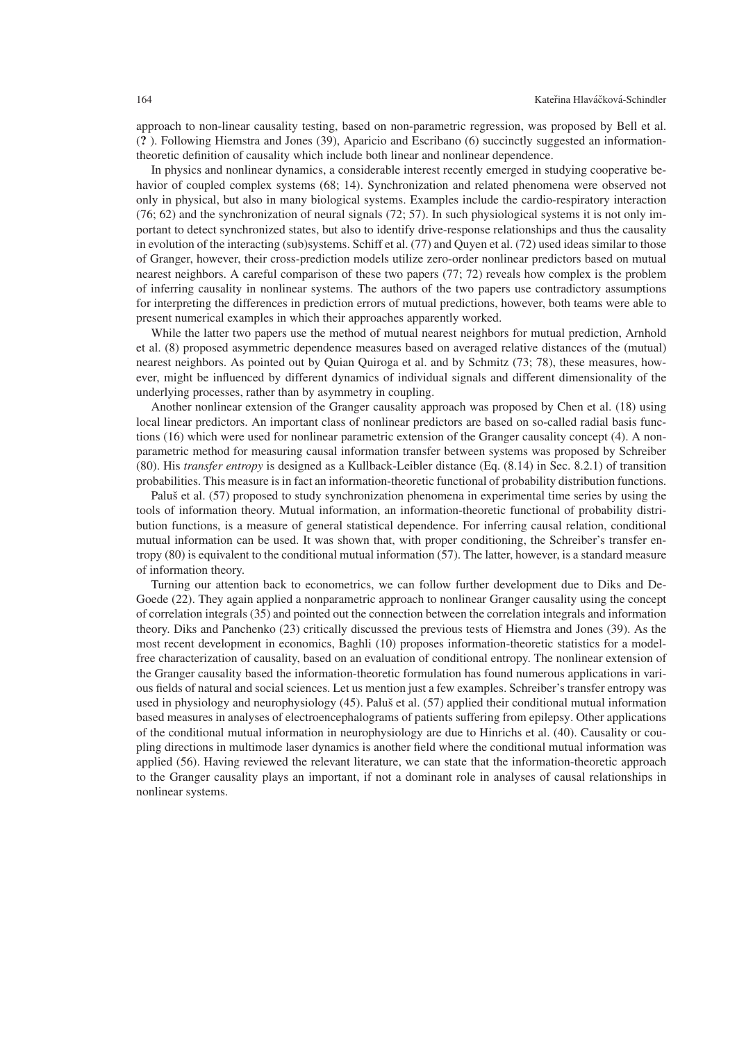approach to non-linear causality testing, based on non-parametric regression, was proposed by Bell et al. (? ). Following Hiemstra and Jones (39), Aparicio and Escribano (6) succinctly suggested an informationtheoretic definition of causality which include both linear and nonlinear dependence.

In physics and nonlinear dynamics, a considerable interest recently emerged in studying cooperative behavior of coupled complex systems (68; 14). Synchronization and related phenomena were observed not only in physical, but also in many biological systems. Examples include the cardio-respiratory interaction (76; 62) and the synchronization of neural signals (72; 57). In such physiological systems it is not only important to detect synchronized states, but also to identify drive-response relationships and thus the causality in evolution of the interacting (sub)systems. Schiff et al. (77) and Quyen et al. (72) used ideas similar to those of Granger, however, their cross-prediction models utilize zero-order nonlinear predictors based on mutual nearest neighbors. A careful comparison of these two papers (77; 72) reveals how complex is the problem of inferring causality in nonlinear systems. The authors of the two papers use contradictory assumptions for interpreting the differences in prediction errors of mutual predictions, however, both teams were able to present numerical examples in which their approaches apparently worked.

While the latter two papers use the method of mutual nearest neighbors for mutual prediction, Arnhold et al. (8) proposed asymmetric dependence measures based on averaged relative distances of the (mutual) nearest neighbors. As pointed out by Quian Quiroga et al. and by Schmitz (73; 78), these measures, however, might be influenced by different dynamics of individual signals and different dimensionality of the underlying processes, rather than by asymmetry in coupling.

Another nonlinear extension of the Granger causality approach was proposed by Chen et al. (18) using local linear predictors. An important class of nonlinear predictors are based on so-called radial basis functions (16) which were used for nonlinear parametric extension of the Granger causality concept (4). A nonparametric method for measuring causal information transfer between systems was proposed by Schreiber (80). His transfer entropy is designed as a Kullback-Leibler distance (Eq. (8.14) in Sec. 8.2.1) of transition probabilities. This measure is in fact an information-theoretic functional of probability distribution functions.

Paluš et al. (57) proposed to study synchronization phenomena in experimental time series by using the tools of information theory. Mutual information, an information-theoretic functional of probability distribution functions, is a measure of general statistical dependence. For inferring causal relation, conditional mutual information can be used. It was shown that, with proper conditioning, the Schreiber's transfer entropy (80) is equivalent to the conditional mutual information (57). The latter, however, is a standard measure of information theory.

Turning our attention back to econometrics, we can follow further development due to Diks and De-Goede (22). They again applied a nonparametric approach to nonlinear Granger causality using the concept of correlation integrals (35) and pointed out the connection between the correlation integrals and information theory. Diks and Panchenko (23) critically discussed the previous tests of Hiemstra and Jones (39). As the most recent development in economics, Baghli (10) proposes information-theoretic statistics for a modelfree characterization of causality, based on an evaluation of conditional entropy. The nonlinear extension of the Granger causality based the information-theoretic formulation has found numerous applications in various fields of natural and social sciences. Let us mention just a few examples. Schreiber's transfer entropy was used in physiology and neurophysiology (45). Paluš et al. (57) applied their conditional mutual information based measures in analyses of electroencephalograms of patients suffering from epilepsy. Other applications of the conditional mutual information in neurophysiology are due to Hinrichs et al. (40). Causality or coupling directions in multimode laser dynamics is another field where the conditional mutual information was applied (56). Having reviewed the relevant literature, we can state that the information-theoretic approach to the Granger causality plays an important, if not a dominant role in analyses of causal relationships in nonlinear systems.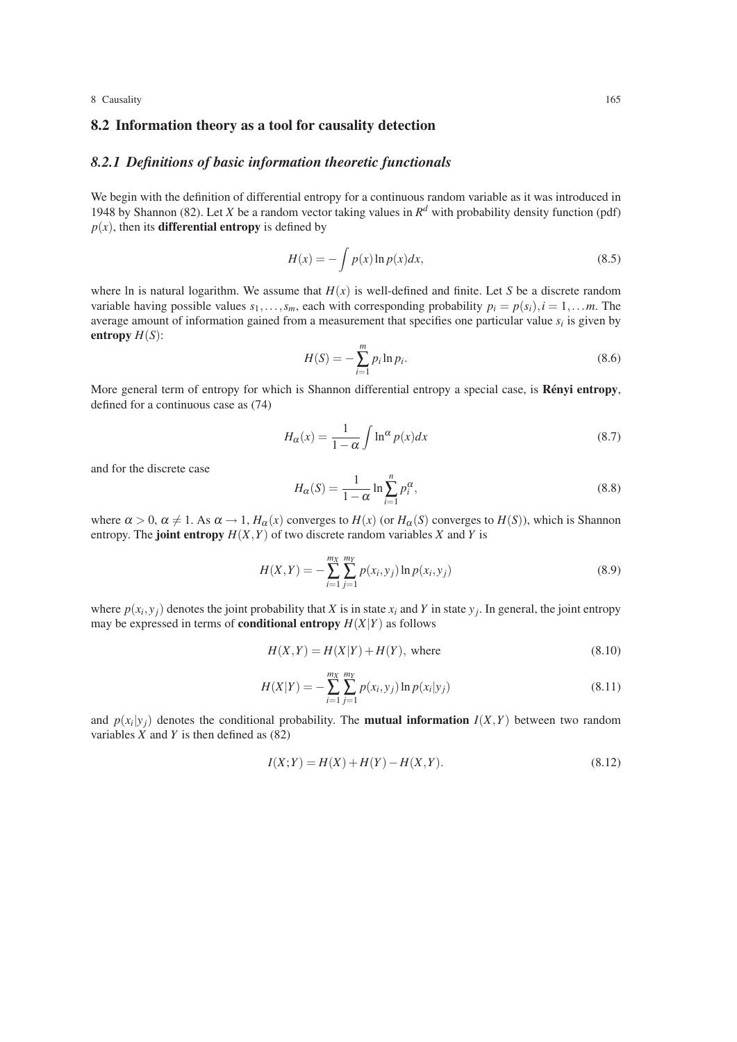### 8.2 Information theory as a tool for causality detection

### 8.2.1 Definitions of basic information theoretic functionals

We begin with the definition of differential entropy for a continuous random variable as it was introduced in 1948 by Shannon (82). Let X be a random vector taking values in  $R^d$  with probability density function (pdf)  $p(x)$ , then its **differential entropy** is defined by

$$
H(x) = -\int p(x) \ln p(x) dx,
$$
\n(8.5)

where ln is natural logarithm. We assume that  $H(x)$  is well-defined and finite. Let S be a discrete random variable having possible values  $s_1, \ldots, s_m$ , each with corresponding probability  $p_i = p(s_i)$ ,  $i = 1, \ldots m$ . The average amount of information gained from a measurement that specifies one particular value  $s_i$  is given by entropy  $H(S)$ :

$$
H(S) = -\sum_{i=1}^{m} p_i \ln p_i.
$$
 (8.6)

More general term of entropy for which is Shannon differential entropy a special case, is **Rényi entropy**, defined for a continuous case as (74)

$$
H_{\alpha}(x) = \frac{1}{1 - \alpha} \int \ln^{\alpha} p(x) dx
$$
\n(8.7)

and for the discrete case

$$
H_{\alpha}(S) = \frac{1}{1 - \alpha} \ln \sum_{i=1}^{n} p_i^{\alpha},\tag{8.8}
$$

where  $\alpha > 0$ ,  $\alpha \neq 1$ . As  $\alpha \rightarrow 1$ ,  $H_{\alpha}(x)$  converges to  $H(x)$  (or  $H_{\alpha}(S)$  converges to  $H(S)$ ), which is Shannon entropy. The **joint entropy**  $H(X, Y)$  of two discrete random variables X and Y is

$$
H(X,Y) = -\sum_{i=1}^{m_X} \sum_{j=1}^{m_Y} p(x_i, y_j) \ln p(x_i, y_j)
$$
\n(8.9)

where  $p(x_i, y_j)$  denotes the joint probability that X is in state  $x_i$  and Y in state  $y_j$ . In general, the joint entropy may be expressed in terms of **conditional entropy**  $H(X|Y)$  as follows

$$
H(X,Y) = H(X|Y) + H(Y), \text{ where}
$$
\n
$$
(8.10)
$$

$$
H(X|Y) = -\sum_{i=1}^{m_X} \sum_{j=1}^{m_Y} p(x_i, y_j) \ln p(x_i|y_j)
$$
\n(8.11)

and  $p(x_i|y_i)$  denotes the conditional probability. The **mutual information**  $I(X,Y)$  between two random variables  $X$  and  $Y$  is then defined as (82)

$$
I(X;Y) = H(X) + H(Y) - H(X,Y).
$$
\n(8.12)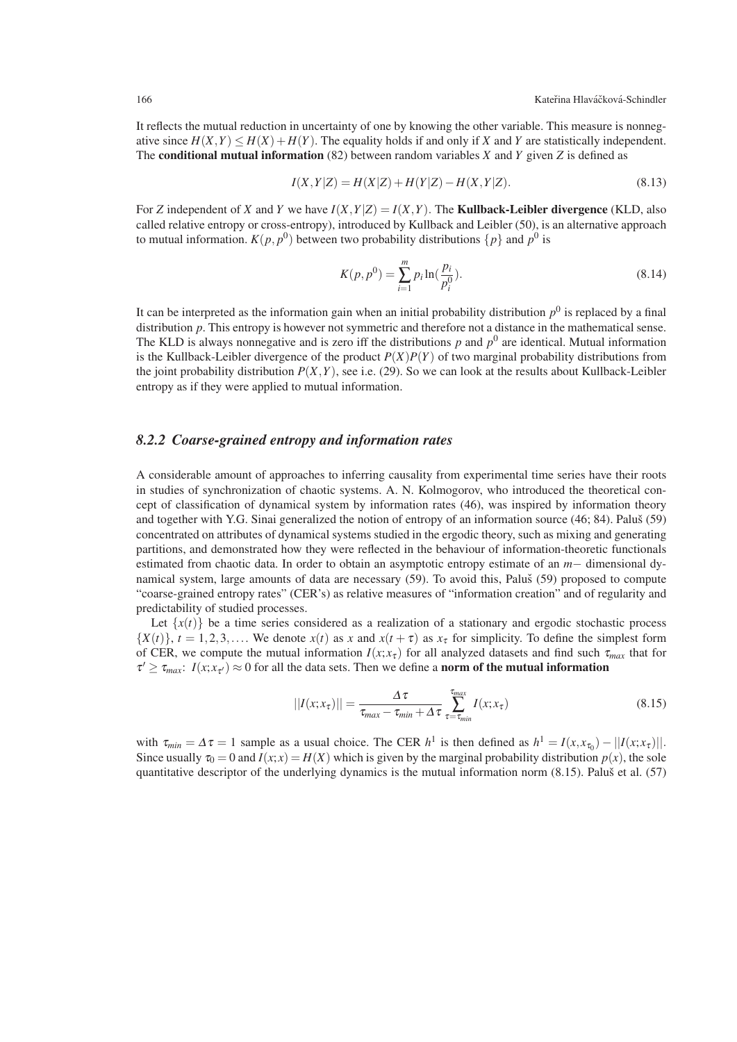It reflects the mutual reduction in uncertainty of one by knowing the other variable. This measure is nonnegative since  $H(X, Y) \le H(X) + H(Y)$ . The equality holds if and only if X and Y are statistically independent. The **conditional mutual information** (82) between random variables X and Y given Z is defined as

$$
I(X,Y|Z) = H(X|Z) + H(Y|Z) - H(X,Y|Z).
$$
\n(8.13)

For Z independent of X and Y we have  $I(X, Y|Z) = I(X, Y)$ . The **Kullback-Leibler divergence** (KLD, also called relative entropy or cross-entropy), introduced by Kullback and Leibler (50), is an alternative approach to mutual information.  $K(p, p^0)$  between two probability distributions  $\{p\}$  and  $p^0$  is

$$
K(p, p^{0}) = \sum_{i=1}^{m} p_{i} \ln(\frac{p_{i}}{p_{i}^{0}}).
$$
\n(8.14)

It can be interpreted as the information gain when an initial probability distribution  $p<sup>0</sup>$  is replaced by a final distribution p. This entropy is however not symmetric and therefore not a distance in the mathematical sense. The KLD is always nonnegative and is zero iff the distributions p and  $p<sup>0</sup>$  are identical. Mutual information is the Kullback-Leibler divergence of the product  $P(X)P(Y)$  of two marginal probability distributions from the joint probability distribution  $P(X, Y)$ , see i.e. (29). So we can look at the results about Kullback-Leibler entropy as if they were applied to mutual information.

### 8.2.2 Coarse-grained entropy and information rates

A considerable amount of approaches to inferring causality from experimental time series have their roots in studies of synchronization of chaotic systems. A. N. Kolmogorov, who introduced the theoretical concept of classification of dynamical system by information rates (46), was inspired by information theory and together with Y.G. Sinai generalized the notion of entropy of an information source (46; 84). Paluš (59) concentrated on attributes of dynamical systems studied in the ergodic theory, such as mixing and generating partitions, and demonstrated how they were reflected in the behaviour of information-theoretic functionals estimated from chaotic data. In order to obtain an asymptotic entropy estimate of an m− dimensional dynamical system, large amounts of data are necessary (59). To avoid this, Paluš (59) proposed to compute "coarse-grained entropy rates" (CER's) as relative measures of "information creation" and of regularity and predictability of studied processes.

Let  $\{x(t)\}\$  be a time series considered as a realization of a stationary and ergodic stochastic process  $\{X(t)\}\$ ,  $t = 1,2,3,...$  We denote  $x(t)$  as x and  $x(t + \tau)$  as  $x_{\tau}$  for simplicity. To define the simplest form of CER, we compute the mutual information  $I(x; x<sub>\tau</sub>)$  for all analyzed datasets and find such  $\tau_{max}$  that for  $\tau' \geq \tau_{max}$ :  $I(x; x_{\tau'}) \approx 0$  for all the data sets. Then we define a norm of the mutual information

$$
||I(x; x_{\tau})|| = \frac{\Delta \tau}{\tau_{max} - \tau_{min} + \Delta \tau} \sum_{\tau = \tau_{min}}^{\tau_{max}} I(x; x_{\tau})
$$
(8.15)

with  $\tau_{min} = \Delta \tau = 1$  sample as a usual choice. The CER  $h^1$  is then defined as  $h^1 = I(x, x_{\tau_0}) - ||I(x; x_{\tau})||$ . Since usually  $\tau_0 = 0$  and  $I(x; x) = H(X)$  which is given by the marginal probability distribution  $p(x)$ , the sole quantitative descriptor of the underlying dynamics is the mutual information norm  $(8.15)$ . Paluš et al.  $(57)$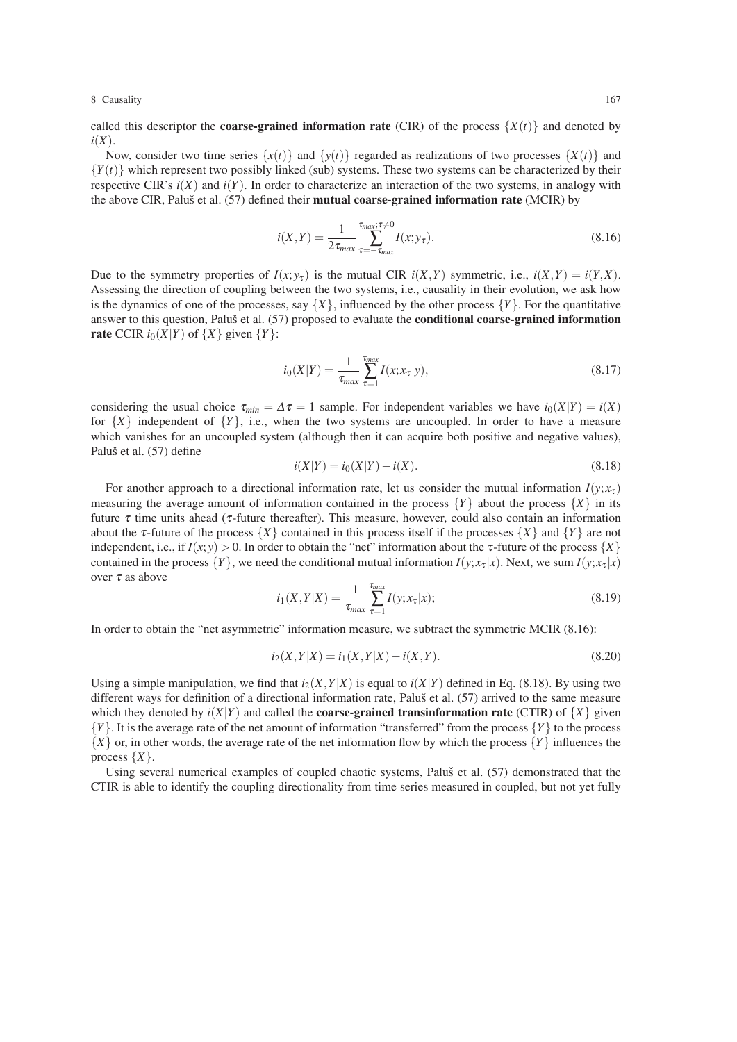called this descriptor the **coarse-grained information rate** (CIR) of the process  $\{X(t)\}\$  and denoted by  $i(X)$ .

Now, consider two time series  $\{x(t)\}$  and  $\{y(t)\}$  regarded as realizations of two processes  $\{X(t)\}$  and  ${Y(t)}$  which represent two possibly linked (sub) systems. These two systems can be characterized by their respective CIR's  $i(X)$  and  $i(Y)$ . In order to characterize an interaction of the two systems, in analogy with the above CIR, Paluš et al. (57) defined their mutual coarse-grained information rate (MCIR) by

$$
i(X,Y) = \frac{1}{2\tau_{max}} \sum_{\tau = -\tau_{max}}^{\tau_{max};\tau \neq 0} I(x; y_{\tau}).
$$
\n(8.16)

Due to the symmetry properties of  $I(x; y_\tau)$  is the mutual CIR  $i(X,Y)$  symmetric, i.e.,  $i(X,Y) = i(Y,X)$ . Assessing the direction of coupling between the two systems, i.e., causality in their evolution, we ask how is the dynamics of one of the processes, say  ${X}$ , influenced by the other process  ${Y}$ . For the quantitative answer to this question, Paluš et al. (57) proposed to evaluate the **conditional coarse-grained information** rate CCIR  $i_0(X|Y)$  of  $\{X\}$  given  $\{Y\}$ :

$$
i_0(X|Y) = \frac{1}{\tau_{max}} \sum_{\tau=1}^{\tau_{max}} I(x; x_\tau | y),
$$
\n(8.17)

considering the usual choice  $\tau_{min} = \Delta \tau = 1$  sample. For independent variables we have  $i_0(X|Y) = i(X)$ for  $\{X\}$  independent of  $\{Y\}$ , i.e., when the two systems are uncoupled. In order to have a measure which vanishes for an uncoupled system (although then it can acquire both positive and negative values), Paluš et al. (57) define

$$
i(X|Y) = i_0(X|Y) - i(X).
$$
\n(8.18)

For another approach to a directional information rate, let us consider the mutual information  $I(y; x<sub>\tau</sub>)$ measuring the average amount of information contained in the process  $\{Y\}$  about the process  $\{X\}$  in its future <sup>τ</sup> time units ahead (τ-future thereafter). This measure, however, could also contain an information about the  $\tau$ -future of the process  $\{X\}$  contained in this process itself if the processes  $\{X\}$  and  $\{Y\}$  are not independent, i.e., if  $I(x; y) > 0$ . In order to obtain the "net" information about the  $\tau$ -future of the process  $\{X\}$ contained in the process  $\{Y\}$ , we need the conditional mutual information  $I(y; x_\tau | x)$ . Next, we sum  $I(y; x_\tau | x)$ over  $\tau$  as above

$$
i_1(X,Y|X) = \frac{1}{\tau_{max}} \sum_{\tau=1}^{\tau_{max}} I(y; x_{\tau}|x); \tag{8.19}
$$

In order to obtain the "net asymmetric" information measure, we subtract the symmetric MCIR (8.16):

$$
i_2(X,Y|X) = i_1(X,Y|X) - i(X,Y).
$$
\n(8.20)

Using a simple manipulation, we find that  $i_2(X,Y|X)$  is equal to  $i(X|Y)$  defined in Eq. (8.18). By using two different ways for definition of a directional information rate, Paluš et al. (57) arrived to the same measure which they denoted by  $i(X|Y)$  and called the **coarse-grained transinformation rate** (CTIR) of  $\{X\}$  given  ${Y}$ . It is the average rate of the net amount of information "transferred" from the process  ${Y}$  to the process  ${X}$  or, in other words, the average rate of the net information flow by which the process  ${Y}$  influences the process  $\{X\}$ .

Using several numerical examples of coupled chaotic systems, Paluš et al. (57) demonstrated that the CTIR is able to identify the coupling directionality from time series measured in coupled, but not yet fully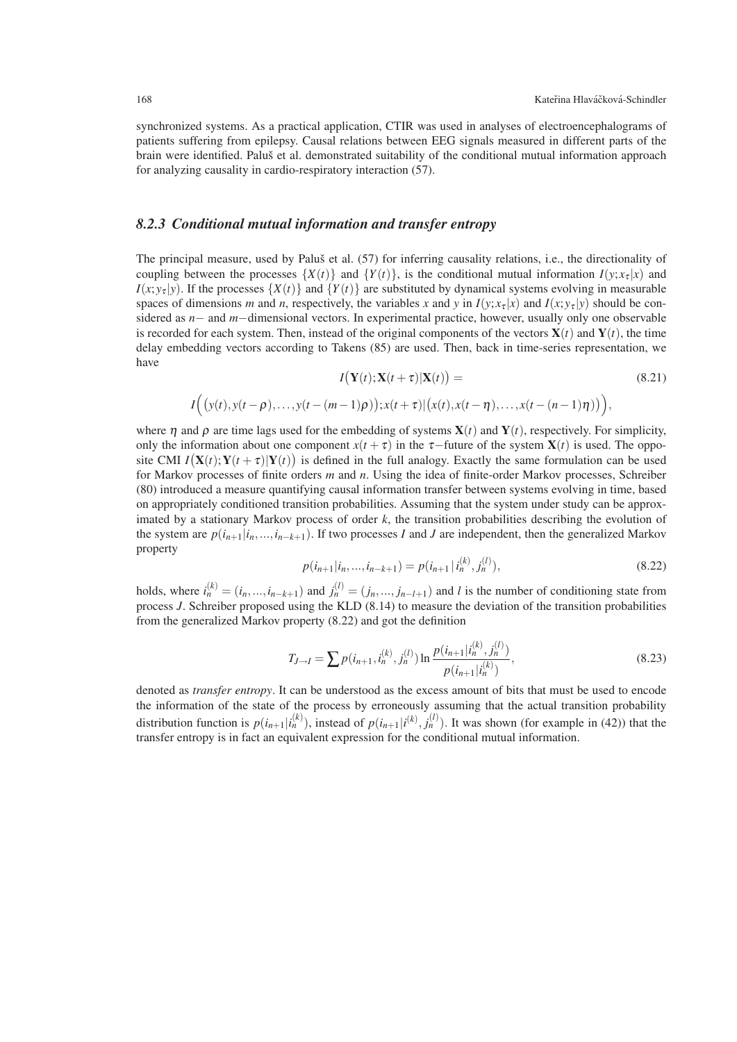synchronized systems. As a practical application, CTIR was used in analyses of electroencephalograms of patients suffering from epilepsy. Causal relations between EEG signals measured in different parts of the brain were identified. Paluš et al. demonstrated suitability of the conditional mutual information approach for analyzing causality in cardio-respiratory interaction (57).

# 8.2.3 Conditional mutual information and transfer entropy

The principal measure, used by Paluš et al. (57) for inferring causality relations, i.e., the directionality of coupling between the processes  $\{X(t)\}\$  and  $\{Y(t)\}\$ , is the conditional mutual information  $I(y; x<sub>\tau</sub>|x)$  and  $I(x; y_\tau | y)$ . If the processes  $\{X(t)\}\$ and  $\{Y(t)\}\$ are substituted by dynamical systems evolving in measurable spaces of dimensions m and n, respectively, the variables x and y in  $I(y; x<sub>\tau</sub>|x)$  and  $I(x; y<sub>\tau</sub>|y)$  should be considered as *n*− and *m*−dimensional vectors. In experimental practice, however, usually only one observable is recorded for each system. Then, instead of the original components of the vectors  $X(t)$  and  $Y(t)$ , the time delay embedding vectors according to Takens (85) are used. Then, back in time-series representation, we have

$$
I(\mathbf{Y}(t); \mathbf{X}(t+\tau)|\mathbf{X}(t)) =
$$
\n
$$
I((y(t), y(t-\rho), \dots, y(t-(m-1)\rho)); x(t+\tau)| (x(t), x(t-\eta), \dots, x(t-(n-1)\eta))),
$$
\n(8.21)

where  $\eta$  and  $\rho$  are time lags used for the embedding of systems  $X(t)$  and  $Y(t)$ , respectively. For simplicity, only the information about one component  $x(t + \tau)$  in the  $\tau$ −future of the system  $\mathbf{X}(t)$  is used. The opposite CMI  $I(X(t); Y(t + \tau) | Y(t))$  is defined in the full analogy. Exactly the same formulation can be used for Markov processes of finite orders m and n. Using the idea of finite-order Markov processes, Schreiber (80) introduced a measure quantifying causal information transfer between systems evolving in time, based on appropriately conditioned transition probabilities. Assuming that the system under study can be approximated by a stationary Markov process of order  $k$ , the transition probabilities describing the evolution of the system are  $p(i_{n+1}|i_n,\ldots,i_{n-k+1})$ . If two processes I and J are independent, then the generalized Markov property  $\langle i \rangle$ 

$$
p(i_{n+1}|i_n, \dots, i_{n-k+1}) = p(i_{n+1}|i_n^{(k)}, j_n^{(l)}),
$$
\n(8.22)

holds, where  $i_n^{(k)} = (i_n, ..., i_{n-k+1})$  and  $j_n^{(l)} = (j_n, ..., j_{n-l+1})$  and l is the number of conditioning state from process J. Schreiber proposed using the KLD (8.14) to measure the deviation of the transition probabilities from the generalized Markov property (8.22) and got the definition

$$
T_{J \to I} = \sum p(i_{n+1}, i_n^{(k)}, j_n^{(l)}) \ln \frac{p(i_{n+1} | i_n^{(k)}, j_n^{(l)})}{p(i_{n+1} | i_n^{(k)})},
$$
\n(8.23)

denoted as *transfer entropy*. It can be understood as the excess amount of bits that must be used to encode the information of the state of the process by erroneously assuming that the actual transition probability distribution function is  $p(i_{n+1}|i_n^{(k)})$ , instead of  $p(i_{n+1}|i^{(k)}, j_n^{(l)})$ . It was shown (for example in (42)) that the transfer entropy is in fact an equivalent expression for the conditional mutual information.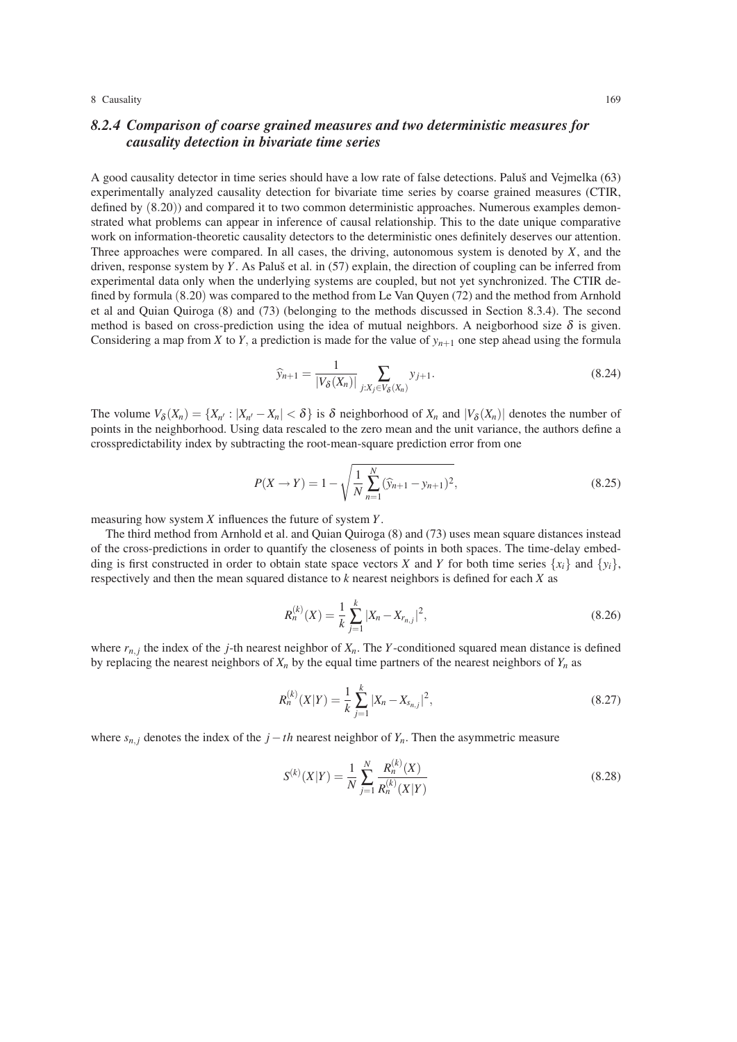# 8.2.4 Comparison of coarse grained measures and two deterministic measures for causality detection in bivariate time series

A good causality detector in time series should have a low rate of false detections. Paluš and Vejmelka (63) experimentally analyzed causality detection for bivariate time series by coarse grained measures (CTIR, defined by (8.20)) and compared it to two common deterministic approaches. Numerous examples demonstrated what problems can appear in inference of causal relationship. This to the date unique comparative work on information-theoretic causality detectors to the deterministic ones definitely deserves our attention. Three approaches were compared. In all cases, the driving, autonomous system is denoted by  $X$ , and the driven, response system by  $Y$ . As Paluš et al. in (57) explain, the direction of coupling can be inferred from experimental data only when the underlying systems are coupled, but not yet synchronized. The CTIR defined by formula (8.20) was compared to the method from Le Van Quyen (72) and the method from Arnhold et al and Quian Quiroga (8) and (73) (belonging to the methods discussed in Section 8.3.4). The second method is based on cross-prediction using the idea of mutual neighbors. A neigborhood size  $\delta$  is given. Considering a map from X to Y, a prediction is made for the value of  $y_{n+1}$  one step ahead using the formula

$$
\widehat{y}_{n+1} = \frac{1}{|V_{\delta}(X_n)|} \sum_{j:X_j \in V_{\delta}(X_n)} y_{j+1}.
$$
\n(8.24)

The volume  $V_\delta(X_n) = \{X_{n'} : |X_{n'} - X_n| < \delta\}$  is  $\delta$  neighborhood of  $X_n$  and  $|V_\delta(X_n)|$  denotes the number of points in the neighborhood. Using data rescaled to the zero mean and the unit variance, the authors define a crosspredictability index by subtracting the root-mean-square prediction error from one

$$
P(X \to Y) = 1 - \sqrt{\frac{1}{N} \sum_{n=1}^{N} (\hat{y}_{n+1} - y_{n+1})^2},
$$
\n(8.25)

measuring how system  $X$  influences the future of system  $Y$ .

The third method from Arnhold et al. and Quian Quiroga (8) and (73) uses mean square distances instead of the cross-predictions in order to quantify the closeness of points in both spaces. The time-delay embedding is first constructed in order to obtain state space vectors X and Y for both time series  $\{x_i\}$  and  $\{y_i\}$ , respectively and then the mean squared distance to  $k$  nearest neighbors is defined for each  $X$  as

$$
R_n^{(k)}(X) = \frac{1}{k} \sum_{j=1}^k |X_n - X_{r_{n,j}}|^2,
$$
\n(8.26)

where  $r_{n,j}$  the index of the j-th nearest neighbor of  $X_n$ . The Y-conditioned squared mean distance is defined by replacing the nearest neighbors of  $X_n$  by the equal time partners of the nearest neighbors of  $Y_n$  as

$$
R_n^{(k)}(X|Y) = \frac{1}{k} \sum_{j=1}^k |X_n - X_{s_{n,j}}|^2,
$$
\n(8.27)

where  $s_{n,i}$  denotes the index of the  $j-th$  nearest neighbor of  $Y_n$ . Then the asymmetric measure

$$
S^{(k)}(X|Y) = \frac{1}{N} \sum_{j=1}^{N} \frac{R_n^{(k)}(X)}{R_n^{(k)}(X|Y)}
$$
(8.28)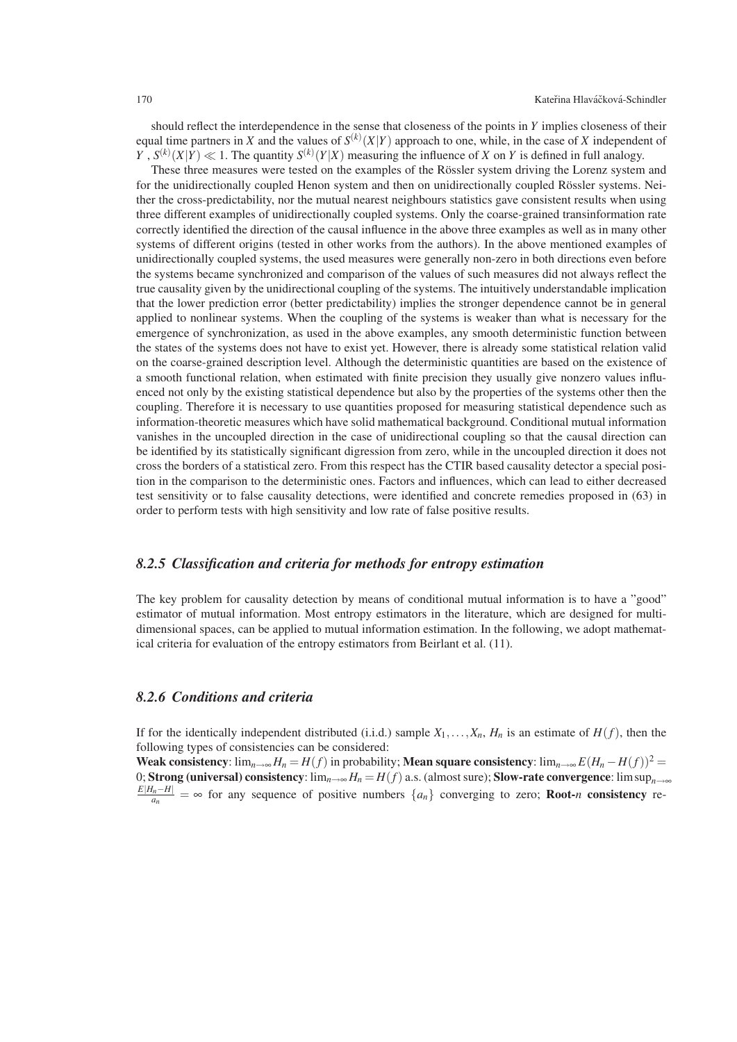should reflect the interdependence in the sense that closeness of the points in Y implies closeness of their equal time partners in X and the values of  $S^{(k)}(X|Y)$  approach to one, while, in the case of X independent of  $Y$ ,  $S^{(k)}(X|Y) \ll 1$ . The quantity  $S^{(k)}(Y|X)$  measuring the influence of X on Y is defined in full analogy.

These three measures were tested on the examples of the Rössler system driving the Lorenz system and for the unidirectionally coupled Henon system and then on unidirectionally coupled Rössler systems. Neither the cross-predictability, nor the mutual nearest neighbours statistics gave consistent results when using three different examples of unidirectionally coupled systems. Only the coarse-grained transinformation rate correctly identified the direction of the causal influence in the above three examples as well as in many other systems of different origins (tested in other works from the authors). In the above mentioned examples of unidirectionally coupled systems, the used measures were generally non-zero in both directions even before the systems became synchronized and comparison of the values of such measures did not always reflect the true causality given by the unidirectional coupling of the systems. The intuitively understandable implication that the lower prediction error (better predictability) implies the stronger dependence cannot be in general applied to nonlinear systems. When the coupling of the systems is weaker than what is necessary for the emergence of synchronization, as used in the above examples, any smooth deterministic function between the states of the systems does not have to exist yet. However, there is already some statistical relation valid on the coarse-grained description level. Although the deterministic quantities are based on the existence of a smooth functional relation, when estimated with finite precision they usually give nonzero values influenced not only by the existing statistical dependence but also by the properties of the systems other then the coupling. Therefore it is necessary to use quantities proposed for measuring statistical dependence such as information-theoretic measures which have solid mathematical background. Conditional mutual information vanishes in the uncoupled direction in the case of unidirectional coupling so that the causal direction can be identified by its statistically significant digression from zero, while in the uncoupled direction it does not cross the borders of a statistical zero. From this respect has the CTIR based causality detector a special position in the comparison to the deterministic ones. Factors and influences, which can lead to either decreased test sensitivity or to false causality detections, were identified and concrete remedies proposed in (63) in order to perform tests with high sensitivity and low rate of false positive results.

#### 8.2.5 Classification and criteria for methods for entropy estimation

The key problem for causality detection by means of conditional mutual information is to have a "good" estimator of mutual information. Most entropy estimators in the literature, which are designed for multidimensional spaces, can be applied to mutual information estimation. In the following, we adopt mathematical criteria for evaluation of the entropy estimators from Beirlant et al. (11).

# 8.2.6 Conditions and criteria

If for the identically independent distributed (i.i.d.) sample  $X_1, \ldots, X_n$ ,  $H_n$  is an estimate of  $H(f)$ , then the following types of consistencies can be considered:

Weak consistency:  $\lim_{n\to\infty} H_n = H(f)$  in probability; Mean square consistency:  $\lim_{n\to\infty} E(H_n - H(f))^2 =$ 0; Strong (universal) consistency:  $\lim_{n\to\infty} H_n = H(f)$  a.s. (almost sure); Slow-rate convergence:  $\limsup_{n\to\infty}$  $\frac{E[H_n-H]}{g} = \infty$  for any sequence of positive numbers  $\{a_n\}$  converging to zero; **Root-n consistency** re-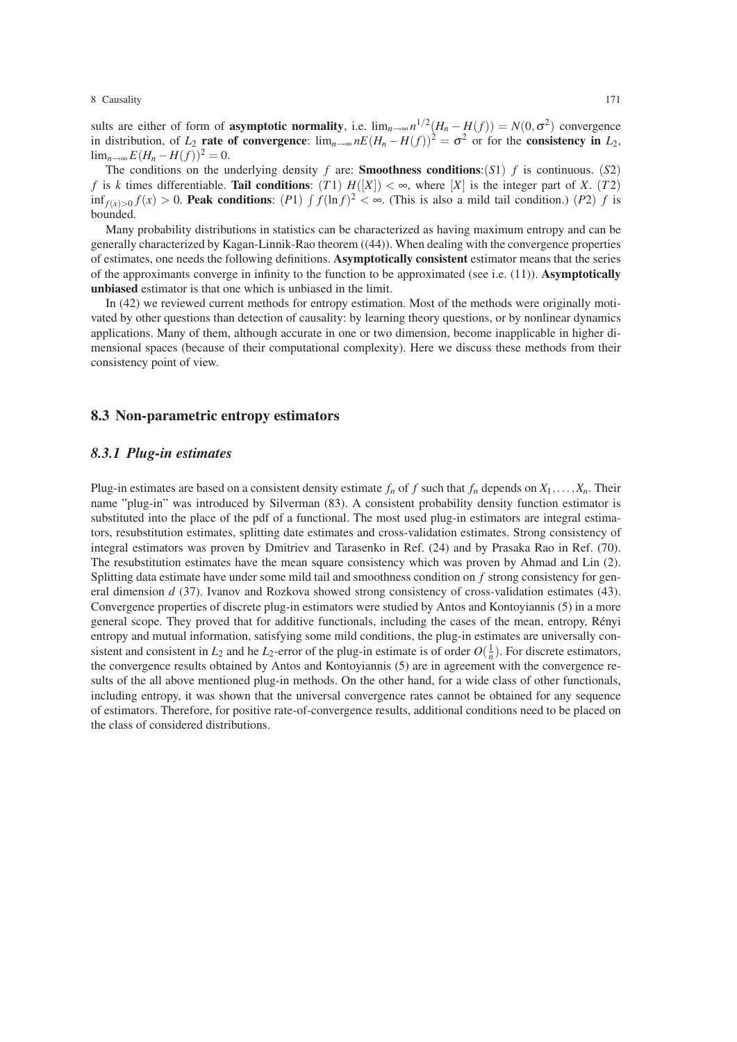sults are either of form of **asymptotic normality**, i.e.  $\lim_{n\to\infty} n^{1/2}(H_n - H(f)) = N(0, \sigma^2)$  convergence in distribution, of  $L_2$  rate of convergence:  $\lim_{n\to\infty} nE(H_n - H(f))^2 = \sigma^2$  or for the consistency in  $L_2$ ,  $\lim_{n\to\infty} E(H_n-H(f))^2=0.$ 

The conditions on the underlying density f are: **Smoothness conditions**: (S1) f is continuous. (S2) f is k times differentiable. Tail conditions: (T1)  $H([X]) < \infty$ , where [X] is the integer part of X. (T2) inf<sub>f(x)>0</sub> f(x) > 0. **Peak conditions**: (P1)  $\int f(\ln f)^2 < \infty$ . (This is also a mild tail condition.) (P2) f is bounded.

Many probability distributions in statistics can be characterized as having maximum entropy and can be generally characterized by Kagan-Linnik-Rao theorem ((44)). When dealing with the convergence properties of estimates, one needs the following definitions. Asymptotically consistent estimator means that the series of the approximants converge in infinity to the function to be approximated (see i.e. (11)). Asymptotically unbiased estimator is that one which is unbiased in the limit.

In (42) we reviewed current methods for entropy estimation. Most of the methods were originally motivated by other questions than detection of causality: by learning theory questions, or by nonlinear dynamics applications. Many of them, although accurate in one or two dimension, become inapplicable in higher dimensional spaces (because of their computational complexity). Here we discuss these methods from their consistency point of view.

### 8.3 Non-parametric entropy estimators

### 8.3.1 Plug-in estimates

Plug-in estimates are based on a consistent density estimate  $f_n$  of f such that  $f_n$  depends on  $X_1, \ldots, X_n$ . Their name "plug-in" was introduced by Silverman (83). A consistent probability density function estimator is substituted into the place of the pdf of a functional. The most used plug-in estimators are integral estimators, resubstitution estimates, splitting date estimates and cross-validation estimates. Strong consistency of integral estimators was proven by Dmitriev and Tarasenko in Ref. (24) and by Prasaka Rao in Ref. (70). The resubstitution estimates have the mean square consistency which was proven by Ahmad and Lin (2). Splitting data estimate have under some mild tail and smoothness condition on f strong consistency for general dimension  $d$  (37). Ivanov and Rozkova showed strong consistency of cross-validation estimates (43). Convergence properties of discrete plug-in estimators were studied by Antos and Kontoyiannis (5) in a more general scope. They proved that for additive functionals, including the cases of the mean, entropy, Rényi entropy and mutual information, satisfying some mild conditions, the plug-in estimates are universally consistent and consistent in  $L_2$  and he  $L_2$ -error of the plug-in estimate is of order  $O(\frac{1}{n})$ . For discrete estimators, the convergence results obtained by Antos and Kontoyiannis (5) are in agreement with the convergence results of the all above mentioned plug-in methods. On the other hand, for a wide class of other functionals, including entropy, it was shown that the universal convergence rates cannot be obtained for any sequence of estimators. Therefore, for positive rate-of-convergence results, additional conditions need to be placed on the class of considered distributions.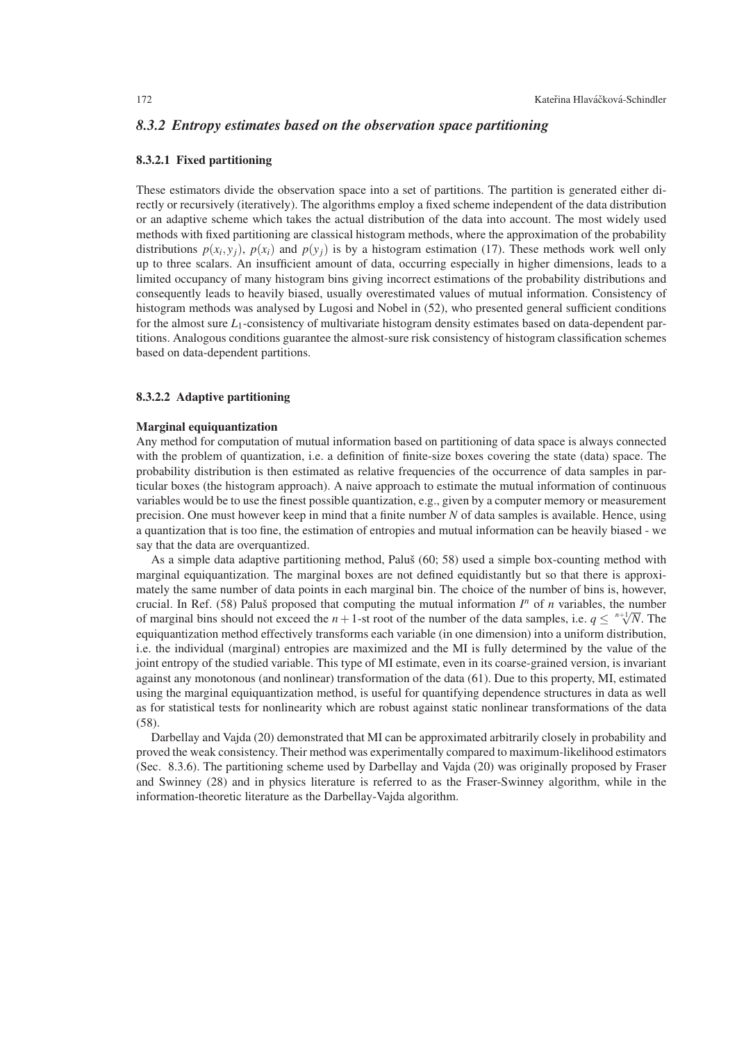### 8.3.2 Entropy estimates based on the observation space partitioning

#### 8.3.2.1 Fixed partitioning

These estimators divide the observation space into a set of partitions. The partition is generated either directly or recursively (iteratively). The algorithms employ a fixed scheme independent of the data distribution or an adaptive scheme which takes the actual distribution of the data into account. The most widely used methods with fixed partitioning are classical histogram methods, where the approximation of the probability distributions  $p(x_i, y_i)$ ,  $p(x_i)$  and  $p(y_i)$  is by a histogram estimation (17). These methods work well only up to three scalars. An insufficient amount of data, occurring especially in higher dimensions, leads to a limited occupancy of many histogram bins giving incorrect estimations of the probability distributions and consequently leads to heavily biased, usually overestimated values of mutual information. Consistency of histogram methods was analysed by Lugosi and Nobel in (52), who presented general sufficient conditions for the almost sure  $L_1$ -consistency of multivariate histogram density estimates based on data-dependent partitions. Analogous conditions guarantee the almost-sure risk consistency of histogram classification schemes based on data-dependent partitions.

#### 8.3.2.2 Adaptive partitioning

#### Marginal equiquantization

Any method for computation of mutual information based on partitioning of data space is always connected with the problem of quantization, i.e. a definition of finite-size boxes covering the state (data) space. The probability distribution is then estimated as relative frequencies of the occurrence of data samples in particular boxes (the histogram approach). A naive approach to estimate the mutual information of continuous variables would be to use the finest possible quantization, e.g., given by a computer memory or measurement precision. One must however keep in mind that a finite number  $N$  of data samples is available. Hence, using a quantization that is too fine, the estimation of entropies and mutual information can be heavily biased - we say that the data are overquantized.

As a simple data adaptive partitioning method, Paluš (60; 58) used a simple box-counting method with marginal equiquantization. The marginal boxes are not defined equidistantly but so that there is approximately the same number of data points in each marginal bin. The choice of the number of bins is, however, crucial. In Ref. (58) Paluš proposed that computing the mutual information  $I<sup>n</sup>$  of n variables, the number of marginal bins should not exceed the  $n+1$ -st root of the number of the data samples, i.e.  $q \leq \sqrt[n+1]{N}$ . The equiquantization method effectively transforms each variable (in one dimension) into a uniform distribution, i.e. the individual (marginal) entropies are maximized and the MI is fully determined by the value of the joint entropy of the studied variable. This type of MI estimate, even in its coarse-grained version, is invariant against any monotonous (and nonlinear) transformation of the data (61). Due to this property, MI, estimated using the marginal equiquantization method, is useful for quantifying dependence structures in data as well as for statistical tests for nonlinearity which are robust against static nonlinear transformations of the data (58).

Darbellay and Vajda (20) demonstrated that MI can be approximated arbitrarily closely in probability and proved the weak consistency. Their method was experimentally compared to maximum-likelihood estimators (Sec. 8.3.6). The partitioning scheme used by Darbellay and Vajda (20) was originally proposed by Fraser and Swinney (28) and in physics literature is referred to as the Fraser-Swinney algorithm, while in the information-theoretic literature as the Darbellay-Vajda algorithm.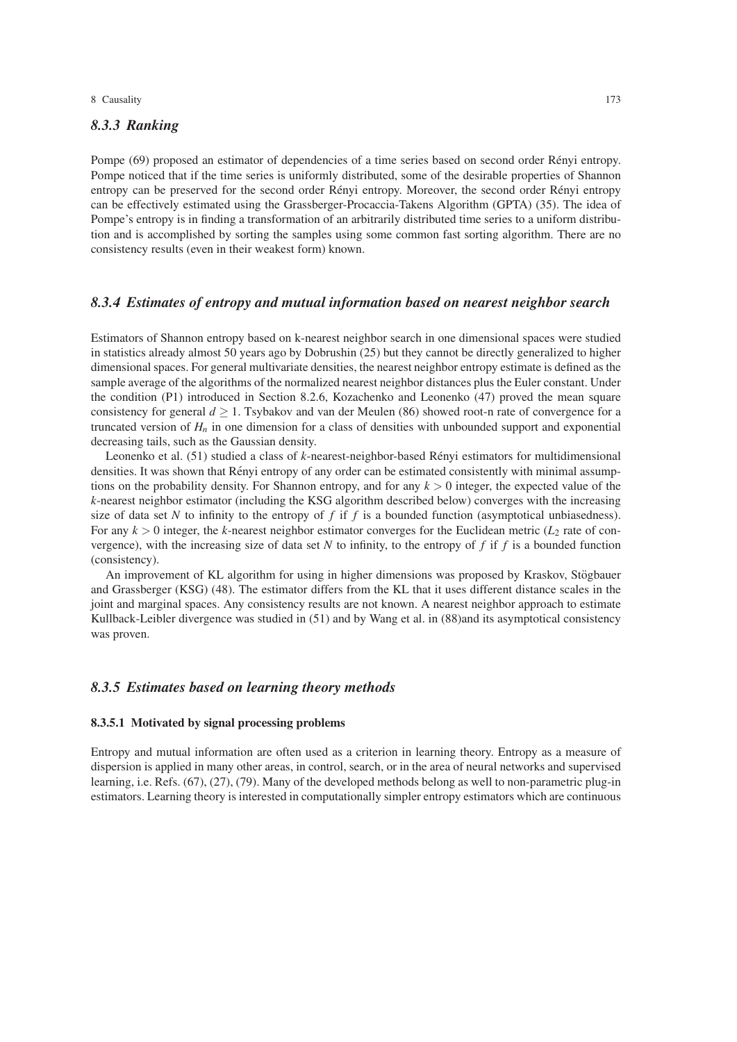# 8.3.3 Ranking

Pompe (69) proposed an estimator of dependencies of a time series based on second order Rényi entropy. Pompe noticed that if the time series is uniformly distributed, some of the desirable properties of Shannon entropy can be preserved for the second order Rényi entropy. Moreover, the second order Rényi entropy can be effectively estimated using the Grassberger-Procaccia-Takens Algorithm (GPTA) (35). The idea of Pompe's entropy is in finding a transformation of an arbitrarily distributed time series to a uniform distribution and is accomplished by sorting the samples using some common fast sorting algorithm. There are no consistency results (even in their weakest form) known.

### 8.3.4 Estimates of entropy and mutual information based on nearest neighbor search

Estimators of Shannon entropy based on k-nearest neighbor search in one dimensional spaces were studied in statistics already almost 50 years ago by Dobrushin (25) but they cannot be directly generalized to higher dimensional spaces. For general multivariate densities, the nearest neighbor entropy estimate is defined as the sample average of the algorithms of the normalized nearest neighbor distances plus the Euler constant. Under the condition (P1) introduced in Section 8.2.6, Kozachenko and Leonenko (47) proved the mean square consistency for general  $d \geq 1$ . Tsybakov and van der Meulen (86) showed root-n rate of convergence for a truncated version of  $H_n$  in one dimension for a class of densities with unbounded support and exponential decreasing tails, such as the Gaussian density.

Leonenko et al.  $(51)$  studied a class of k-nearest-neighbor-based Rényi estimators for multidimensional densities. It was shown that Rényi entropy of any order can be estimated consistently with minimal assumptions on the probability density. For Shannon entropy, and for any  $k > 0$  integer, the expected value of the k-nearest neighbor estimator (including the KSG algorithm described below) converges with the increasing size of data set N to infinity to the entropy of  $f$  if  $f$  is a bounded function (asymptotical unbiasedness). For any  $k > 0$  integer, the k-nearest neighbor estimator converges for the Euclidean metric ( $L_2$  rate of convergence), with the increasing size of data set N to infinity, to the entropy of  $f$  if  $f$  is a bounded function (consistency).

An improvement of KL algorithm for using in higher dimensions was proposed by Kraskov, Stögbauer and Grassberger (KSG) (48). The estimator differs from the KL that it uses different distance scales in the joint and marginal spaces. Any consistency results are not known. A nearest neighbor approach to estimate Kullback-Leibler divergence was studied in (51) and by Wang et al. in (88)and its asymptotical consistency was proven.

#### 8.3.5 Estimates based on learning theory methods

### 8.3.5.1 Motivated by signal processing problems

Entropy and mutual information are often used as a criterion in learning theory. Entropy as a measure of dispersion is applied in many other areas, in control, search, or in the area of neural networks and supervised learning, i.e. Refs. (67), (27), (79). Many of the developed methods belong as well to non-parametric plug-in estimators. Learning theory is interested in computationally simpler entropy estimators which are continuous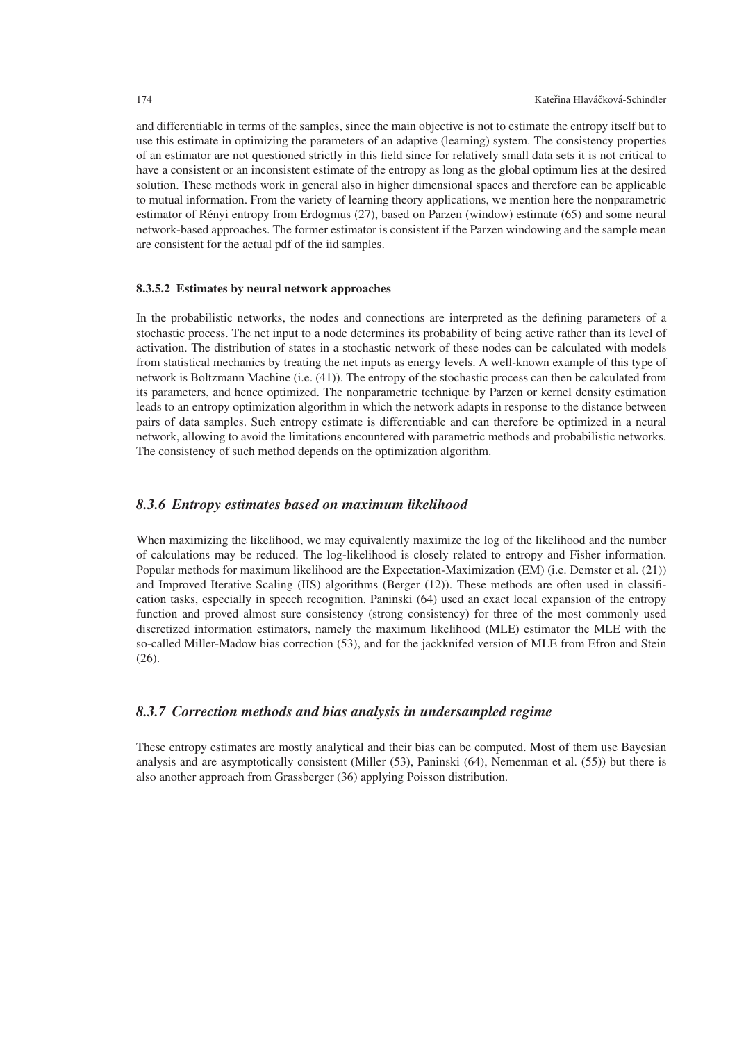and differentiable in terms of the samples, since the main objective is not to estimate the entropy itself but to use this estimate in optimizing the parameters of an adaptive (learning) system. The consistency properties of an estimator are not questioned strictly in this field since for relatively small data sets it is not critical to have a consistent or an inconsistent estimate of the entropy as long as the global optimum lies at the desired solution. These methods work in general also in higher dimensional spaces and therefore can be applicable to mutual information. From the variety of learning theory applications, we mention here the nonparametric estimator of Rényi entropy from Erdogmus (27), based on Parzen (window) estimate (65) and some neural network-based approaches. The former estimator is consistent if the Parzen windowing and the sample mean are consistent for the actual pdf of the iid samples.

#### 8.3.5.2 Estimates by neural network approaches

In the probabilistic networks, the nodes and connections are interpreted as the defining parameters of a stochastic process. The net input to a node determines its probability of being active rather than its level of activation. The distribution of states in a stochastic network of these nodes can be calculated with models from statistical mechanics by treating the net inputs as energy levels. A well-known example of this type of network is Boltzmann Machine (i.e. (41)). The entropy of the stochastic process can then be calculated from its parameters, and hence optimized. The nonparametric technique by Parzen or kernel density estimation leads to an entropy optimization algorithm in which the network adapts in response to the distance between pairs of data samples. Such entropy estimate is differentiable and can therefore be optimized in a neural network, allowing to avoid the limitations encountered with parametric methods and probabilistic networks. The consistency of such method depends on the optimization algorithm.

### 8.3.6 Entropy estimates based on maximum likelihood

When maximizing the likelihood, we may equivalently maximize the log of the likelihood and the number of calculations may be reduced. The log-likelihood is closely related to entropy and Fisher information. Popular methods for maximum likelihood are the Expectation-Maximization (EM) (i.e. Demster et al. (21)) and Improved Iterative Scaling (IIS) algorithms (Berger (12)). These methods are often used in classification tasks, especially in speech recognition. Paninski (64) used an exact local expansion of the entropy function and proved almost sure consistency (strong consistency) for three of the most commonly used discretized information estimators, namely the maximum likelihood (MLE) estimator the MLE with the so-called Miller-Madow bias correction (53), and for the jackknifed version of MLE from Efron and Stein (26).

### 8.3.7 Correction methods and bias analysis in undersampled regime

These entropy estimates are mostly analytical and their bias can be computed. Most of them use Bayesian analysis and are asymptotically consistent (Miller (53), Paninski (64), Nemenman et al. (55)) but there is also another approach from Grassberger (36) applying Poisson distribution.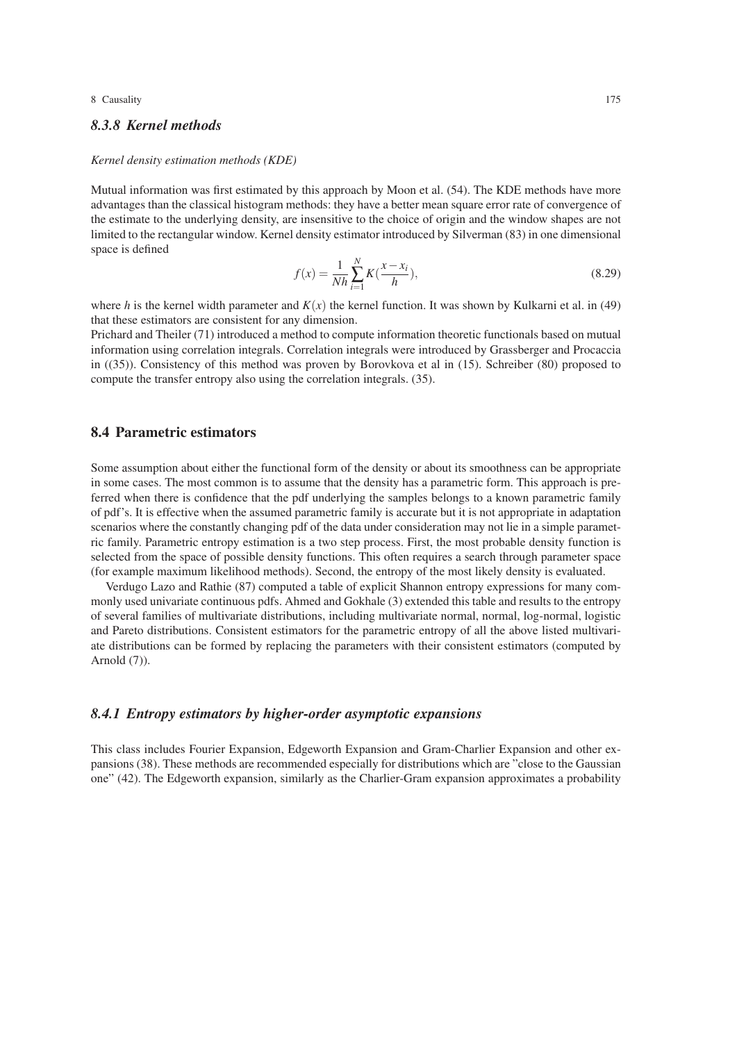### 8.3.8 Kernel methods

#### Kernel density estimation methods (KDE)

Mutual information was first estimated by this approach by Moon et al. (54). The KDE methods have more advantages than the classical histogram methods: they have a better mean square error rate of convergence of the estimate to the underlying density, are insensitive to the choice of origin and the window shapes are not limited to the rectangular window. Kernel density estimator introduced by Silverman (83) in one dimensional space is defined

$$
f(x) = \frac{1}{Nh} \sum_{i=1}^{N} K(\frac{x - x_i}{h}),
$$
\n(8.29)

where h is the kernel width parameter and  $K(x)$  the kernel function. It was shown by Kulkarni et al. in (49) that these estimators are consistent for any dimension.

Prichard and Theiler (71) introduced a method to compute information theoretic functionals based on mutual information using correlation integrals. Correlation integrals were introduced by Grassberger and Procaccia in ((35)). Consistency of this method was proven by Borovkova et al in (15). Schreiber (80) proposed to compute the transfer entropy also using the correlation integrals. (35).

# 8.4 Parametric estimators

Some assumption about either the functional form of the density or about its smoothness can be appropriate in some cases. The most common is to assume that the density has a parametric form. This approach is preferred when there is confidence that the pdf underlying the samples belongs to a known parametric family of pdf's. It is effective when the assumed parametric family is accurate but it is not appropriate in adaptation scenarios where the constantly changing pdf of the data under consideration may not lie in a simple parametric family. Parametric entropy estimation is a two step process. First, the most probable density function is selected from the space of possible density functions. This often requires a search through parameter space (for example maximum likelihood methods). Second, the entropy of the most likely density is evaluated.

Verdugo Lazo and Rathie (87) computed a table of explicit Shannon entropy expressions for many commonly used univariate continuous pdfs. Ahmed and Gokhale (3) extended this table and results to the entropy of several families of multivariate distributions, including multivariate normal, normal, log-normal, logistic and Pareto distributions. Consistent estimators for the parametric entropy of all the above listed multivariate distributions can be formed by replacing the parameters with their consistent estimators (computed by Arnold (7)).

### 8.4.1 Entropy estimators by higher-order asymptotic expansions

This class includes Fourier Expansion, Edgeworth Expansion and Gram-Charlier Expansion and other expansions (38). These methods are recommended especially for distributions which are "close to the Gaussian one" (42). The Edgeworth expansion, similarly as the Charlier-Gram expansion approximates a probability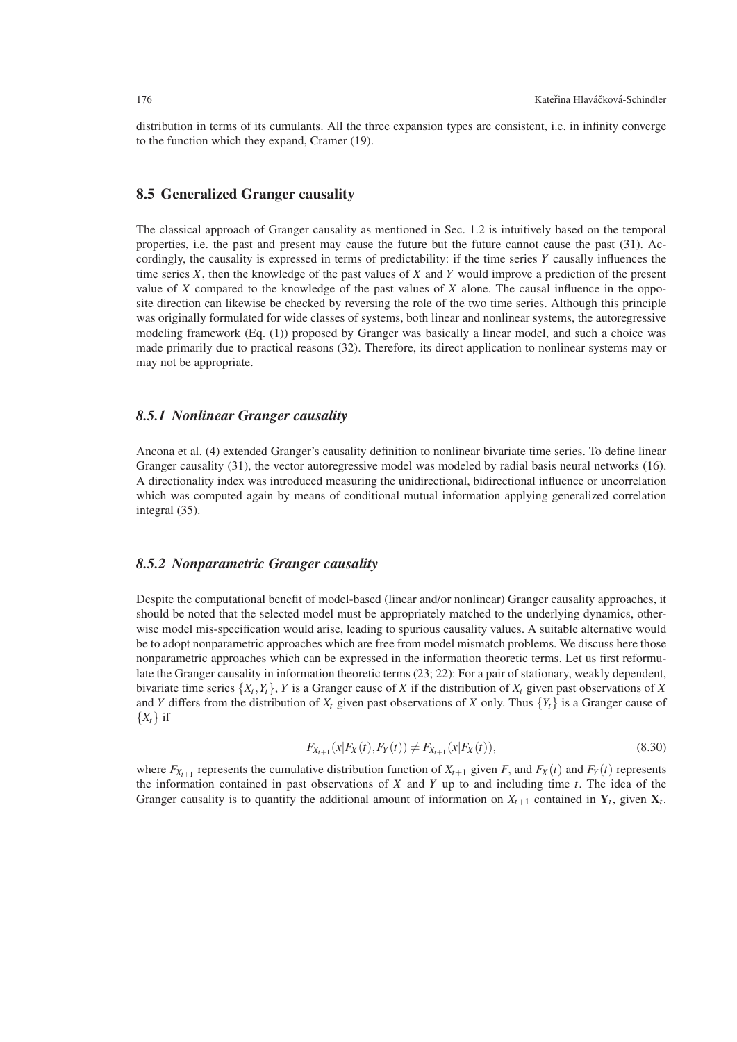distribution in terms of its cumulants. All the three expansion types are consistent, i.e. in infinity converge to the function which they expand, Cramer (19).

#### 8.5 Generalized Granger causality

The classical approach of Granger causality as mentioned in Sec. 1.2 is intuitively based on the temporal properties, i.e. the past and present may cause the future but the future cannot cause the past (31). Accordingly, the causality is expressed in terms of predictability: if the time series  $Y$  causally influences the time series  $X$ , then the knowledge of the past values of  $X$  and  $Y$  would improve a prediction of the present value of X compared to the knowledge of the past values of X alone. The causal influence in the opposite direction can likewise be checked by reversing the role of the two time series. Although this principle was originally formulated for wide classes of systems, both linear and nonlinear systems, the autoregressive modeling framework (Eq. (1)) proposed by Granger was basically a linear model, and such a choice was made primarily due to practical reasons (32). Therefore, its direct application to nonlinear systems may or may not be appropriate.

### 8.5.1 Nonlinear Granger causality

Ancona et al. (4) extended Granger's causality definition to nonlinear bivariate time series. To define linear Granger causality (31), the vector autoregressive model was modeled by radial basis neural networks (16). A directionality index was introduced measuring the unidirectional, bidirectional influence or uncorrelation which was computed again by means of conditional mutual information applying generalized correlation integral (35).

#### 8.5.2 Nonparametric Granger causality

Despite the computational benefit of model-based (linear and/or nonlinear) Granger causality approaches, it should be noted that the selected model must be appropriately matched to the underlying dynamics, otherwise model mis-specification would arise, leading to spurious causality values. A suitable alternative would be to adopt nonparametric approaches which are free from model mismatch problems. We discuss here those nonparametric approaches which can be expressed in the information theoretic terms. Let us first reformulate the Granger causality in information theoretic terms (23; 22): For a pair of stationary, weakly dependent, bivariate time series  $\{X_t, Y_t\}$ , Y is a Granger cause of X if the distribution of  $X_t$  given past observations of X and Y differs from the distribution of  $X_t$  given past observations of X only. Thus  $\{Y_t\}$  is a Granger cause of  $\{X_t\}$  if

$$
F_{X_{t+1}}(x|F_X(t), F_Y(t)) \neq F_{X_{t+1}}(x|F_X(t)),
$$
\n(8.30)

where  $F_{X_{t+1}}$  represents the cumulative distribution function of  $X_{t+1}$  given F, and  $F_X(t)$  and  $F_Y(t)$  represents the information contained in past observations of  $X$  and  $Y$  up to and including time  $t$ . The idea of the Granger causality is to quantify the additional amount of information on  $X_{t+1}$  contained in  $Y_t$ , given  $X_t$ .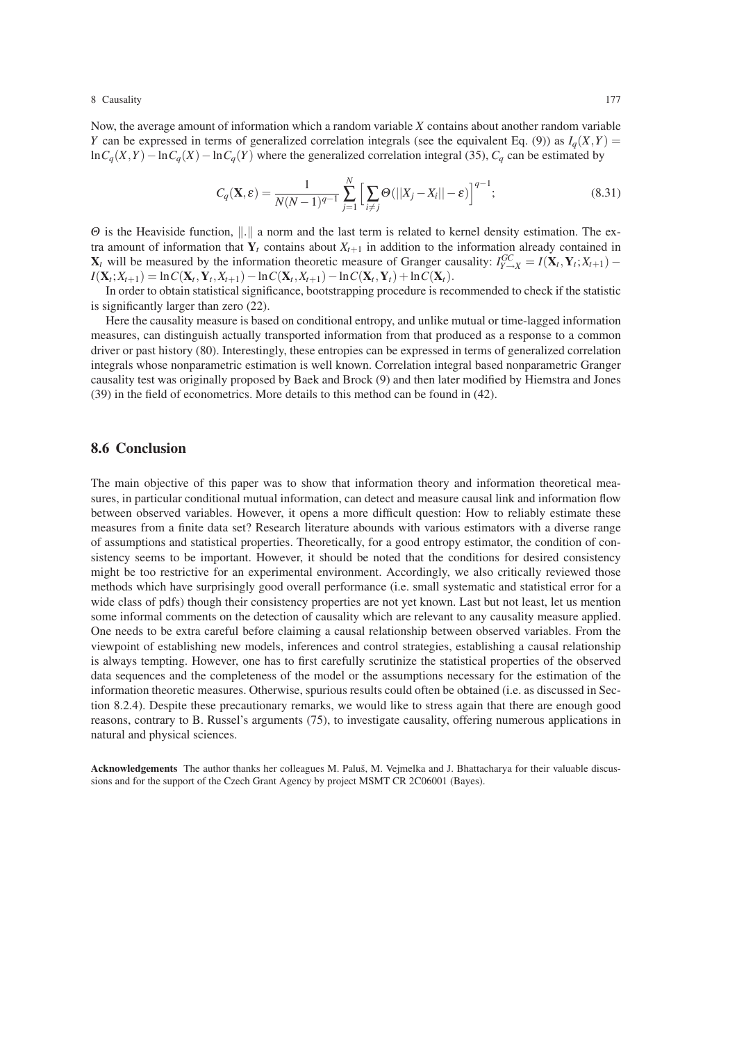Now, the average amount of information which a random variable  $X$  contains about another random variable Y can be expressed in terms of generalized correlation integrals (see the equivalent Eq. (9)) as  $I_q(X, Y)$  =  $\ln C_q(X,Y) - \ln C_q(Y)$  where the generalized correlation integral (35),  $C_q$  can be estimated by

$$
C_q(\mathbf{X}, \varepsilon) = \frac{1}{N(N-1)^{q-1}} \sum_{j=1}^N \left[ \sum_{i \neq j} \Theta(||X_j - X_i|| - \varepsilon) \right]^{q-1};
$$
\n(8.31)

 $\Theta$  is the Heaviside function,  $\Vert \cdot \Vert$  a norm and the last term is related to kernel density estimation. The extra amount of information that  $Y_t$  contains about  $X_{t+1}$  in addition to the information already contained in  $X_t$  will be measured by the information theoretic measure of Granger causality:  $I_{Y\to X}^{GC} = I(X_t, Y_t; X_{t+1}) - I(X_t, Y_t; X_{t+1}) - I(X_t, Y_t; X_{t+1}) - I(X_t, Y_t; X_{t+1})$  $I(X_t; X_{t+1}) = \ln C(X_t, Y_t, X_{t+1}) - \ln C(X_t, X_{t+1}) - \ln C(X_t, Y_t) + \ln C(X_t).$ 

In order to obtain statistical significance, bootstrapping procedure is recommended to check if the statistic is significantly larger than zero (22).

Here the causality measure is based on conditional entropy, and unlike mutual or time-lagged information measures, can distinguish actually transported information from that produced as a response to a common driver or past history (80). Interestingly, these entropies can be expressed in terms of generalized correlation integrals whose nonparametric estimation is well known. Correlation integral based nonparametric Granger causality test was originally proposed by Baek and Brock (9) and then later modified by Hiemstra and Jones (39) in the field of econometrics. More details to this method can be found in (42).

### 8.6 Conclusion

The main objective of this paper was to show that information theory and information theoretical measures, in particular conditional mutual information, can detect and measure causal link and information flow between observed variables. However, it opens a more difficult question: How to reliably estimate these measures from a finite data set? Research literature abounds with various estimators with a diverse range of assumptions and statistical properties. Theoretically, for a good entropy estimator, the condition of consistency seems to be important. However, it should be noted that the conditions for desired consistency might be too restrictive for an experimental environment. Accordingly, we also critically reviewed those methods which have surprisingly good overall performance (i.e. small systematic and statistical error for a wide class of pdfs) though their consistency properties are not yet known. Last but not least, let us mention some informal comments on the detection of causality which are relevant to any causality measure applied. One needs to be extra careful before claiming a causal relationship between observed variables. From the viewpoint of establishing new models, inferences and control strategies, establishing a causal relationship is always tempting. However, one has to first carefully scrutinize the statistical properties of the observed data sequences and the completeness of the model or the assumptions necessary for the estimation of the information theoretic measures. Otherwise, spurious results could often be obtained (i.e. as discussed in Section 8.2.4). Despite these precautionary remarks, we would like to stress again that there are enough good reasons, contrary to B. Russel's arguments (75), to investigate causality, offering numerous applications in natural and physical sciences.

Acknowledgements The author thanks her colleagues M. Paluš, M. Veimelka and J. Bhattacharya for their valuable discussions and for the support of the Czech Grant Agency by project MSMT CR 2C06001 (Bayes).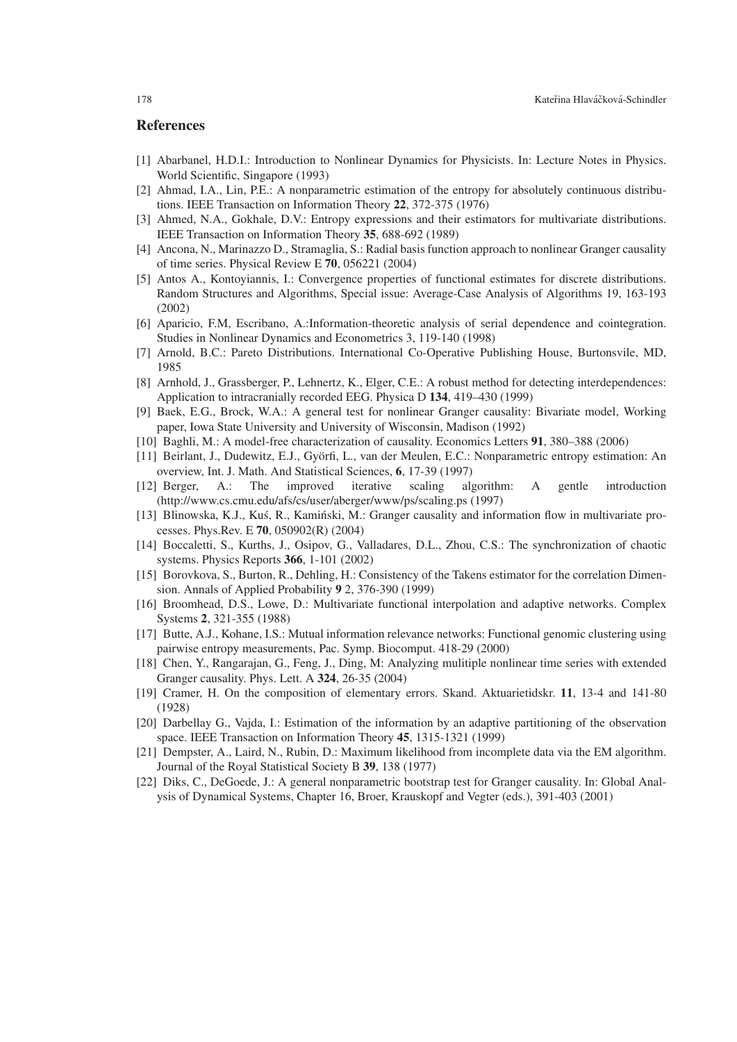#### References

- [1] Abarbanel, H.D.I.: Introduction to Nonlinear Dynamics for Physicists. In: Lecture Notes in Physics. World Scientific, Singapore (1993)
- [2] Ahmad, I.A., Lin, P.E.: A nonparametric estimation of the entropy for absolutely continuous distributions. IEEE Transaction on Information Theory 22, 372-375 (1976)
- [3] Ahmed, N.A., Gokhale, D.V.: Entropy expressions and their estimators for multivariate distributions. IEEE Transaction on Information Theory 35, 688-692 (1989)
- [4] Ancona, N., Marinazzo D., Stramaglia, S.: Radial basis function approach to nonlinear Granger causality of time series. Physical Review E 70, 056221 (2004)
- [5] Antos A., Kontoyiannis, I.: Convergence properties of functional estimates for discrete distributions. Random Structures and Algorithms, Special issue: Average-Case Analysis of Algorithms 19, 163-193 (2002)
- [6] Aparicio, F.M, Escribano, A.:Information-theoretic analysis of serial dependence and cointegration. Studies in Nonlinear Dynamics and Econometrics 3, 119-140 (1998)
- [7] Arnold, B.C.: Pareto Distributions. International Co-Operative Publishing House, Burtonsvile, MD, 1985
- [8] Arnhold, J., Grassberger, P., Lehnertz, K., Elger, C.E.: A robust method for detecting interdependences: Application to intracranially recorded EEG. Physica D 134, 419–430 (1999)
- [9] Baek, E.G., Brock, W.A.: A general test for nonlinear Granger causality: Bivariate model, Working paper, Iowa State University and University of Wisconsin, Madison (1992)
- [10] Baghli, M.: A model-free characterization of causality. Economics Letters 91, 380–388 (2006)
- [11] Beirlant, J., Dudewitz, E.J., Györfi, L., van der Meulen, E.C.: Nonparametric entropy estimation: An overview, Int. J. Math. And Statistical Sciences, 6, 17-39 (1997)
- [12] Berger, A.: The improved iterative scaling algorithm: A gentle introduction (http://www.cs.cmu.edu/afs/cs/user/aberger/www/ps/scaling.ps (1997)
- [13] Blinowska, K.J., Kus, R., Kamin´ski, M.: Granger causality and information flow in multivariate processes. Phys.Rev. E 70, 050902(R) (2004)
- [14] Boccaletti, S., Kurths, J., Osipov, G., Valladares, D.L., Zhou, C.S.: The synchronization of chaotic systems. Physics Reports 366, 1-101 (2002)
- [15] Borovkova, S., Burton, R., Dehling, H.: Consistency of the Takens estimator for the correlation Dimension. Annals of Applied Probability 9 2, 376-390 (1999)
- [16] Broomhead, D.S., Lowe, D.: Multivariate functional interpolation and adaptive networks. Complex Systems 2, 321-355 (1988)
- [17] Butte, A.J., Kohane, I.S.: Mutual information relevance networks: Functional genomic clustering using pairwise entropy measurements, Pac. Symp. Biocomput. 418-29 (2000)
- [18] Chen, Y., Rangarajan, G., Feng, J., Ding, M: Analyzing mulitiple nonlinear time series with extended Granger causality. Phys. Lett. A 324, 26-35 (2004)
- [19] Cramer, H. On the composition of elementary errors. Skand. Aktuarietidskr. 11, 13-4 and 141-80 (1928)
- [20] Darbellay G., Vajda, I.: Estimation of the information by an adaptive partitioning of the observation space. IEEE Transaction on Information Theory 45, 1315-1321 (1999)
- [21] Dempster, A., Laird, N., Rubin, D.: Maximum likelihood from incomplete data via the EM algorithm. Journal of the Royal Statistical Society B 39, 138 (1977)
- [22] Diks, C., DeGoede, J.: A general nonparametric bootstrap test for Granger causality. In: Global Analysis of Dynamical Systems, Chapter 16, Broer, Krauskopf and Vegter (eds.), 391-403 (2001)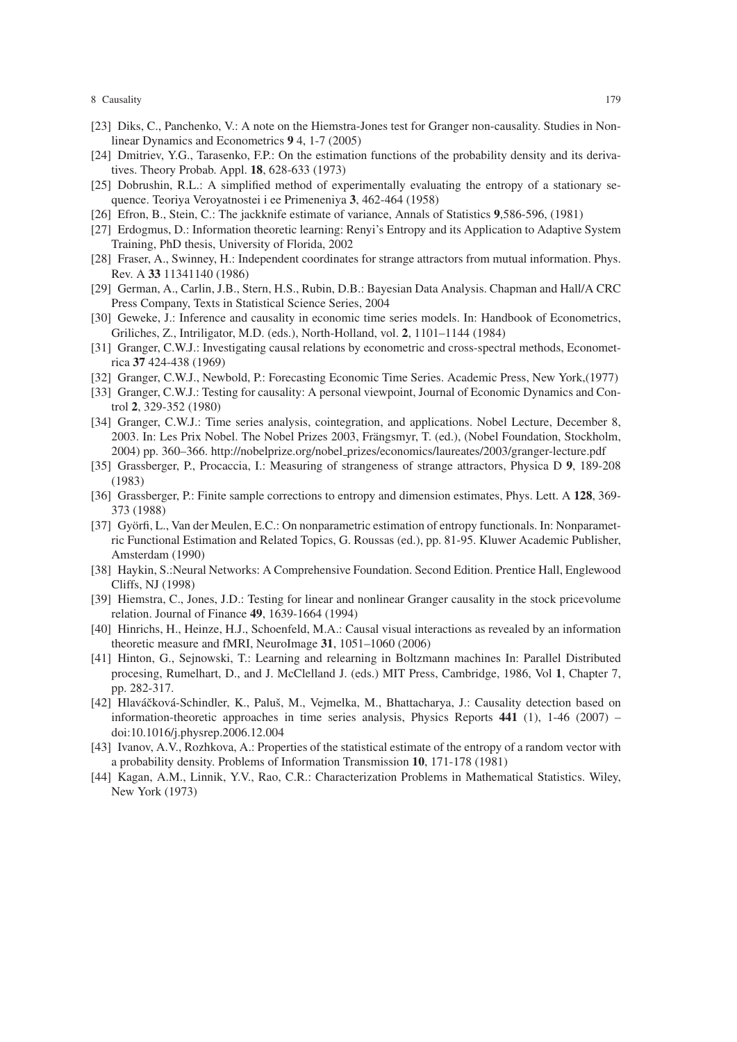- [23] Diks, C., Panchenko, V.: A note on the Hiemstra-Jones test for Granger non-causality. Studies in Nonlinear Dynamics and Econometrics 9 4, 1-7 (2005)
- [24] Dmitriev, Y.G., Tarasenko, F.P.: On the estimation functions of the probability density and its derivatives. Theory Probab. Appl. 18, 628-633 (1973)
- [25] Dobrushin, R.L.: A simplified method of experimentally evaluating the entropy of a stationary sequence. Teoriya Veroyatnostei i ee Primeneniya 3, 462-464 (1958)
- [26] Efron, B., Stein, C.: The jackknife estimate of variance, Annals of Statistics 9,586-596, (1981)
- [27] Erdogmus, D.: Information theoretic learning: Renyi's Entropy and its Application to Adaptive System Training, PhD thesis, University of Florida, 2002
- [28] Fraser, A., Swinney, H.: Independent coordinates for strange attractors from mutual information. Phys. Rev. A 33 11341140 (1986)
- [29] German, A., Carlin, J.B., Stern, H.S., Rubin, D.B.: Bayesian Data Analysis. Chapman and Hall/A CRC Press Company, Texts in Statistical Science Series, 2004
- [30] Geweke, J.: Inference and causality in economic time series models. In: Handbook of Econometrics, Griliches, Z., Intriligator, M.D. (eds.), North-Holland, vol. 2, 1101–1144 (1984)
- [31] Granger, C.W.J.: Investigating causal relations by econometric and cross-spectral methods, Econometrica 37 424-438 (1969)
- [32] Granger, C.W.J., Newbold, P.: Forecasting Economic Time Series. Academic Press, New York,(1977)
- [33] Granger, C.W.J.: Testing for causality: A personal viewpoint, Journal of Economic Dynamics and Control 2, 329-352 (1980)
- [34] Granger, C.W.J.: Time series analysis, cointegration, and applications. Nobel Lecture, December 8, 2003. In: Les Prix Nobel. The Nobel Prizes 2003, Frängsmyr, T. (ed.), (Nobel Foundation, Stockholm, 2004) pp. 360–366. http://nobelprize.org/nobel prizes/economics/laureates/2003/granger-lecture.pdf
- [35] Grassberger, P., Procaccia, I.: Measuring of strangeness of strange attractors, Physica D 9, 189-208 (1983)
- [36] Grassberger, P.: Finite sample corrections to entropy and dimension estimates, Phys. Lett. A 128, 369- 373 (1988)
- [37] Györfi, L., Van der Meulen, E.C.: On nonparametric estimation of entropy functionals. In: Nonparametric Functional Estimation and Related Topics, G. Roussas (ed.), pp. 81-95. Kluwer Academic Publisher, Amsterdam (1990)
- [38] Haykin, S.:Neural Networks: A Comprehensive Foundation. Second Edition. Prentice Hall, Englewood Cliffs, NJ (1998)
- [39] Hiemstra, C., Jones, J.D.: Testing for linear and nonlinear Granger causality in the stock pricevolume relation. Journal of Finance 49, 1639-1664 (1994)
- [40] Hinrichs, H., Heinze, H.J., Schoenfeld, M.A.: Causal visual interactions as revealed by an information theoretic measure and fMRI, NeuroImage 31, 1051–1060 (2006)
- [41] Hinton, G., Sejnowski, T.: Learning and relearning in Boltzmann machines In: Parallel Distributed procesing, Rumelhart, D., and J. McClelland J. (eds.) MIT Press, Cambridge, 1986, Vol 1, Chapter 7, pp. 282-317.
- [42] Hlaváčková-Schindler, K., Paluš, M., Vejmelka, M., Bhattacharya, J.: Causality detection based on information-theoretic approaches in time series analysis, Physics Reports 441 (1), 1-46 (2007) – doi:10.1016/j.physrep.2006.12.004
- [43] Ivanov, A.V., Rozhkova, A.: Properties of the statistical estimate of the entropy of a random vector with a probability density. Problems of Information Transmission 10, 171-178 (1981)
- [44] Kagan, A.M., Linnik, Y.V., Rao, C.R.: Characterization Problems in Mathematical Statistics. Wiley, New York (1973)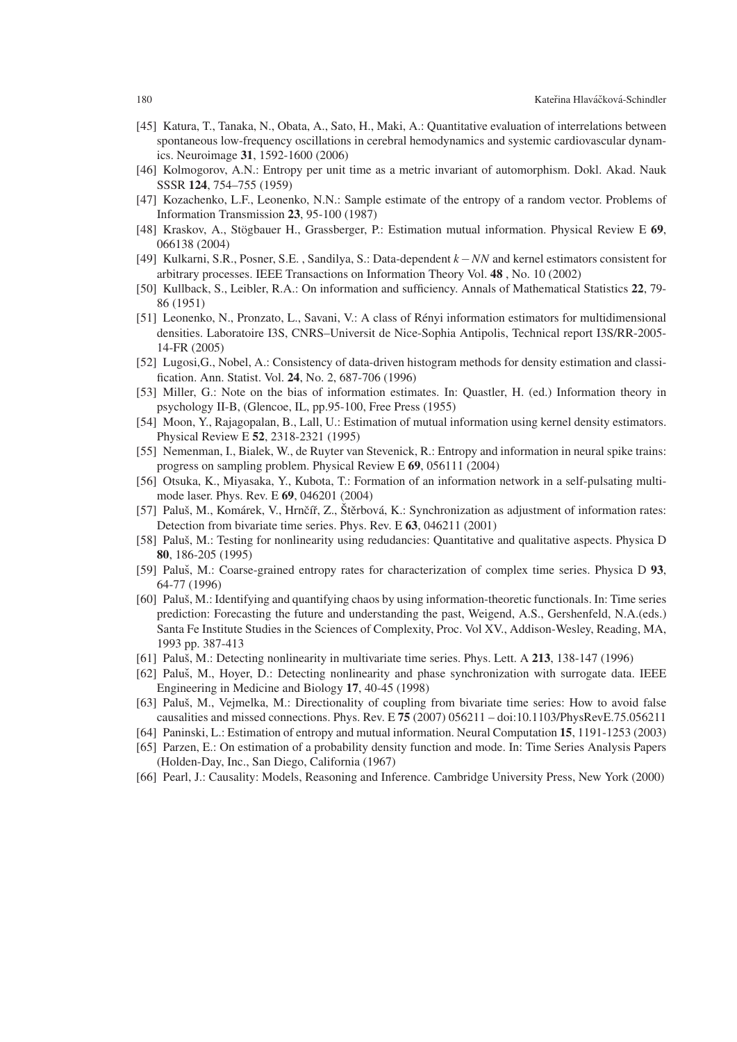- [45] Katura, T., Tanaka, N., Obata, A., Sato, H., Maki, A.: Quantitative evaluation of interrelations between spontaneous low-frequency oscillations in cerebral hemodynamics and systemic cardiovascular dynamics. Neuroimage 31, 1592-1600 (2006)
- [46] Kolmogorov, A.N.: Entropy per unit time as a metric invariant of automorphism. Dokl. Akad. Nauk SSSR 124, 754–755 (1959)
- [47] Kozachenko, L.F., Leonenko, N.N.: Sample estimate of the entropy of a random vector. Problems of Information Transmission 23, 95-100 (1987)
- [48] Kraskov, A., Stögbauer H., Grassberger, P.: Estimation mutual information. Physical Review E 69, 066138 (2004)
- [49] Kulkarni, S.R., Posner, S.E. , Sandilya, S.: Data-dependent k−NN and kernel estimators consistent for arbitrary processes. IEEE Transactions on Information Theory Vol. 48 , No. 10 (2002)
- [50] Kullback, S., Leibler, R.A.: On information and sufficiency. Annals of Mathematical Statistics 22, 79- 86 (1951)
- [51] Leonenko, N., Pronzato, L., Savani, V.: A class of Rényi information estimators for multidimensional densities. Laboratoire I3S, CNRS–Universit de Nice-Sophia Antipolis, Technical report I3S/RR-2005- 14-FR (2005)
- [52] Lugosi,G., Nobel, A.: Consistency of data-driven histogram methods for density estimation and classification. Ann. Statist. Vol. 24, No. 2, 687-706 (1996)
- [53] Miller, G.: Note on the bias of information estimates. In: Quastler, H. (ed.) Information theory in psychology II-B, (Glencoe, IL, pp.95-100, Free Press (1955)
- [54] Moon, Y., Rajagopalan, B., Lall, U.: Estimation of mutual information using kernel density estimators. Physical Review E 52, 2318-2321 (1995)
- [55] Nemenman, I., Bialek, W., de Ruyter van Stevenick, R.: Entropy and information in neural spike trains: progress on sampling problem. Physical Review E 69, 056111 (2004)
- [56] Otsuka, K., Miyasaka, Y., Kubota, T.: Formation of an information network in a self-pulsating multimode laser. Phys. Rev. E 69, 046201 (2004)
- [57] Paluš, M., Komárek, V., Hrnčíř, Z., Štěrbová, K.: Synchronization as adjustment of information rates: Detection from bivariate time series. Phys. Rev. E 63, 046211 (2001)
- [58] Paluš, M.: Testing for nonlinearity using redudancies: Quantitative and qualitative aspects. Physica D 80, 186-205 (1995)
- [59] Paluš, M.: Coarse-grained entropy rates for characterization of complex time series. Physica D 93, 64-77 (1996)
- [60] Paluš, M.: Identifying and quantifying chaos by using information-theoretic functionals. In: Time series prediction: Forecasting the future and understanding the past, Weigend, A.S., Gershenfeld, N.A.(eds.) Santa Fe Institute Studies in the Sciences of Complexity, Proc. Vol XV., Addison-Wesley, Reading, MA, 1993 pp. 387-413
- [61] Paluš, M.: Detecting nonlinearity in multivariate time series. Phys. Lett. A 213, 138-147 (1996)
- [62] Paluš, M., Hoyer, D.: Detecting nonlinearity and phase synchronization with surrogate data. IEEE Engineering in Medicine and Biology 17, 40-45 (1998)
- [63] Paluš, M., Vejmelka, M.: Directionality of coupling from bivariate time series: How to avoid false causalities and missed connections. Phys. Rev. E 75 (2007) 056211 – doi:10.1103/PhysRevE.75.056211
- [64] Paninski, L.: Estimation of entropy and mutual information. Neural Computation 15, 1191-1253 (2003)
- [65] Parzen, E.: On estimation of a probability density function and mode. In: Time Series Analysis Papers (Holden-Day, Inc., San Diego, California (1967)
- [66] Pearl, J.: Causality: Models, Reasoning and Inference. Cambridge University Press, New York (2000)